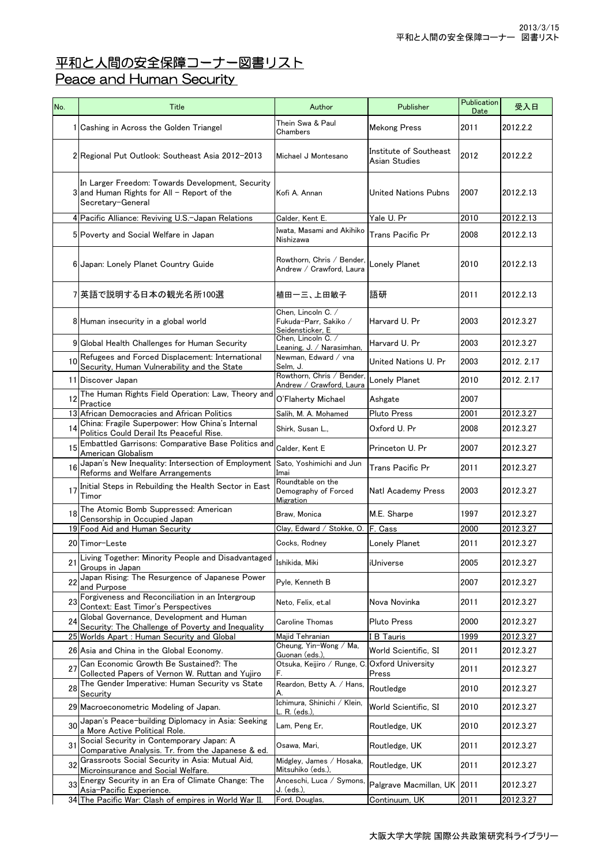## <u>平和と人間の安全保障コーナー図書リスト</u>

## Peace and Human Security

| No. | Title                                                                                                                 | Author                                                          | Publisher                               | Publication<br>Date | 受入日        |
|-----|-----------------------------------------------------------------------------------------------------------------------|-----------------------------------------------------------------|-----------------------------------------|---------------------|------------|
|     | 1 Cashing in Across the Golden Triangel                                                                               | Thein Swa & Paul<br>Chambers                                    | <b>Mekong Press</b>                     | 2011                | 2012.2.2   |
|     | 2 Regional Put Outlook: Southeast Asia 2012-2013                                                                      | Michael J Montesano                                             | Institute of Southeast<br>Asian Studies | 2012                | 2012.2.2   |
|     | In Larger Freedom: Towards Development, Security<br>$3$ and Human Rights for All - Report of the<br>Secretary-General | Kofi A. Annan                                                   | <b>United Nations Pubns</b>             | 2007                | 2012.2.13  |
|     | 4 Pacific Alliance: Reviving U.S.-Japan Relations                                                                     | Calder, Kent E.                                                 | Yale U. Pr                              | 2010                | 2012.2.13  |
|     | 5 Poverty and Social Welfare in Japan                                                                                 | Iwata, Masami and Akihiko<br>Nishizawa                          | Trans Pacific Pr                        | 2008                | 2012.2.13  |
|     | 6 Japan: Lonely Planet Country Guide                                                                                  | Rowthorn, Chris / Bender,<br>Andrew / Crawford, Laura           | Lonely Planet                           | 2010                | 2012.2.13  |
|     | 7 英語で説明する日本の観光名所100選                                                                                                  | 植田一三、上田敏子                                                       | 語研                                      | 2011                | 2012.2.13  |
|     | 8 Human insecurity in a global world                                                                                  | Chen, Lincoln C. /<br>Fukuda-Parr, Sakiko /<br>Seidensticker, E | Harvard U. Pr                           | 2003                | 2012.3.27  |
|     | 9 Global Health Challenges for Human Security                                                                         | Chen, Lincoln C. /<br>Leaning, J. / Narasimhan,                 | Harvard U. Pr                           | 2003                | 2012.3.27  |
| 10  | Refugees and Forced Displacement: International<br>Security, Human Vulnerability and the State                        | Newman, Edward / vna<br>Selm, J.                                | United Nations U. Pr                    | 2003                | 2012. 2.17 |
|     | 11 Discover Japan                                                                                                     | Rowthorn, Chris / Bender,<br>Andrew / Crawford, Laura           | Lonely Planet                           | 2010                | 2012. 2.17 |
| 12  | The Human Rights Field Operation: Law, Theory and<br>Practice                                                         | O'Flaherty Michael                                              | Ashgate                                 | 2007                |            |
|     | 13 African Democracies and African Politics                                                                           | Salih, M. A. Mohamed                                            | <b>Pluto Press</b>                      | 2001                | 2012.3.27  |
| 14  | China: Fragile Superpower: How China's Internal<br>Politics Could Derail Its Peaceful Rise.                           | Shirk, Susan L.,                                                | Oxford U. Pr                            | 2008                | 2012.3.27  |
| 15  | Embattled Garrisons: Comparative Base Politics and<br>American Globalism                                              | Calder, Kent E                                                  | Princeton U. Pr                         | 2007                | 2012.3.27  |
| 16  | Japan's New Inequality: Intersection of Employment<br>Reforms and Welfare Arrangements                                | Sato, Yoshimichi and Jun<br>Imai                                | <b>Trans Pacific Pr</b>                 | 2011                | 2012.3.27  |
| 17  | Initial Steps in Rebuilding the Health Sector in East<br>Timor                                                        | Roundtable on the<br>Demography of Forced<br>Migration          | <b>Natl Academy Press</b>               | 2003                | 2012.3.27  |
| 18  | The Atomic Bomb Suppressed: American<br>Censorship in Occupied Japan                                                  | Braw, Monica                                                    | M.E. Sharpe                             | 1997                | 2012.3.27  |
|     | 19 Food Aid and Human Security                                                                                        | Clay, Edward / Stokke, O.                                       | F. Cass                                 | 2000                | 2012.3.27  |
|     | 20 Timor-Leste                                                                                                        | Cocks, Rodney                                                   | <b>Lonely Planet</b>                    | 2011                | 2012.3.27  |
| 21  | Living Together: Minority People and Disadvantaged<br>Groups in Japan                                                 | Ishikida, Miki                                                  | iUniverse                               | 2005                | 2012.3.27  |
| 22  | Japan Rising: The Resurgence of Japanese Power<br>and Purpose                                                         | Pyle, Kenneth B                                                 |                                         | 2007                | 2012.3.27  |
| 23  | Forgiveness and Reconciliation in an Intergroup<br>Context: East Timor's Perspectives                                 | Neto, Felix, et.al                                              | Nova Novinka                            | 2011                | 2012.3.27  |
| 24  | Global Governance, Development and Human<br>Security: The Challenge of Poverty and Inequality                         | Caroline Thomas                                                 | <b>Pluto Press</b>                      | 2000                | 2012.3.27  |
|     | 25 Worlds Apart: Human Security and Global                                                                            | Majid Tehranian                                                 | <b>I B Tauris</b>                       | 1999                | 2012.3.27  |
|     | 26 Asia and China in the Global Economy.                                                                              | Cheung, Yin-Wong / Ma,<br>Guonan (eds.),                        | World Scientific, SI                    | 2011                | 2012.3.27  |
| 27  | Can Economic Growth Be Sustained?: The<br>Collected Papers of Vernon W. Ruttan and Yujiro                             | Otsuka, Keijiro / Runge, C<br>F.                                | Oxford University<br>Press              | 2011                | 2012.3.27  |
| 28  | The Gender Imperative: Human Security vs State<br>Security                                                            | Reardon, Betty A. / Hans,<br>A.                                 | Routledge                               | 2010                | 2012.3.27  |
|     | 29 Macroeconometric Modeling of Japan.                                                                                | Ichimura, Shinichi / Klein,<br>. R. (eds.)                      | World Scientific, SI                    | 2010                | 2012.3.27  |
| 30  | Japan's Peace-building Diplomacy in Asia: Seeking<br>a More Active Political Role.                                    | Lam, Peng Er,                                                   | Routledge, UK                           | 2010                | 2012.3.27  |
| 31  | Social Security in Contemporary Japan: A<br>Comparative Analysis. Tr. from the Japanese & ed.                         | Osawa, Mari,                                                    | Routledge, UK                           | 2011                | 2012.3.27  |
| 32  | Grassroots Social Security in Asia: Mutual Aid,<br>Microinsurance and Social Welfare.                                 | Midgley, James / Hosaka,<br>Mitsuhiko (eds.),                   | Routledge, UK                           | 2011                | 2012.3.27  |
| 33  | Energy Security in an Era of Climate Change: The<br>Asia-Pacific Experience.                                          | Anceschi, Luca / Symons,<br>J. (eds.),                          | Palgrave Macmillan, UK 2011             |                     | 2012.3.27  |
|     | 34 The Pacific War: Clash of empires in World War II.                                                                 | Ford, Douglas,                                                  | Continuum, UK                           | 2011                | 2012.3.27  |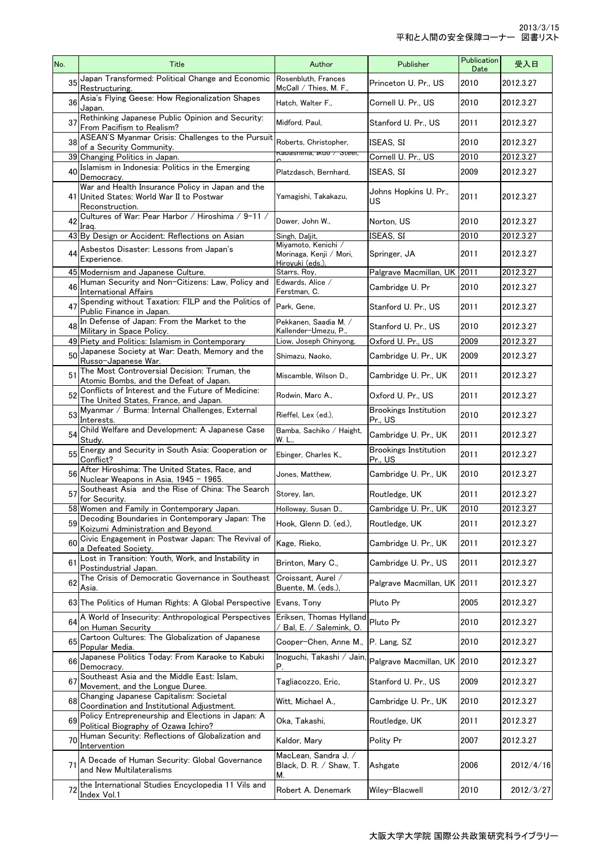| No. | Title                                                                                                            | Author                                                            | Publisher                               | Publication<br>Date | 受入日       |
|-----|------------------------------------------------------------------------------------------------------------------|-------------------------------------------------------------------|-----------------------------------------|---------------------|-----------|
| 35  | Japan Transformed: Political Change and Economic<br>Restructuring.                                               | Rosenbluth, Frances<br>$McCall /$ Thies, M. F.,                   | Princeton U. Pr., US                    | 2010                | 2012.3.27 |
| 36  | Asia's Flying Geese: How Regionalization Shapes<br>Japan.                                                        | Hatch, Walter F.,                                                 | Cornell U. Pr., US                      | 2010                | 2012.3.27 |
| 37  | Rethinking Japanese Public Opinion and Security:<br>From Pacifism to Realism?                                    | Midford, Paul,                                                    | Stanford U. Pr., US                     | 2011                | 2012.3.27 |
| 38  | ASEAN'S Myanmar Crisis: Challenges to the Pursuit                                                                | Roberts, Christopher,                                             | ISEAS, SI                               | 2010                | 2012.3.27 |
|     | of a Security Community.<br>39 Changing Politics in Japan.                                                       | Nabashima, ikuo ∕ Steei,                                          | Cornell U. Pr., US                      | 2010                | 2012.3.27 |
| 40  | Islamism in Indonesia: Politics in the Emerging<br>Democracy.                                                    | Platzdasch. Bernhard.                                             | ISEAS, SI                               | 2009                | 2012.3.27 |
|     | War and Health Insurance Policy in Japan and the<br>41 United States: World War II to Postwar<br>Reconstruction. | Yamagishi, Takakazu,                                              | Johns Hopkins U. Pr<br>US               | 2011                | 2012.3.27 |
| 42  | Cultures of War: Pear Harbor / Hiroshima / 9-11 /<br>Iraq.                                                       | Dower, John W.,                                                   | Norton, US                              | 2010                | 2012.3.27 |
|     | 43 By Design or Accident: Reflections on Asian                                                                   | Singh, Daljit,                                                    | ISEAS, SI                               | 2010                | 2012.3.27 |
|     | 44 Asbestos Disaster: Lessons from Japan's<br>Experience.                                                        | Miyamoto, Kenichi /<br>Morinaga, Kenji / Mori,<br>Hiroyuki (eds.) | Springer, JA                            | 2011                | 2012.3.27 |
|     | 45 Modernism and Japanese Culture.                                                                               | Starrs, Roy,                                                      | Palgrave Macmillan, UK 2011             |                     | 2012.3.27 |
| 46  | Human Security and Non-Citizens: Law, Policy and<br><b>International Affairs</b>                                 | Edwards, Alice /<br>Ferstman, C.                                  | Cambridge U. Pr                         | 2010                | 2012.3.27 |
| 47  | Spending without Taxation: FILP and the Politics of<br>Public Finance in Japan.                                  | Park, Gene,                                                       | Stanford U. Pr., US                     | 2011                | 2012.3.27 |
| 48  | In Defense of Japan: From the Market to the<br>Military in Space Policy.                                         | Pekkanen, Saadia M. /<br>Kallender-Umezu, P.,                     | Stanford U. Pr., US                     | 2010                | 2012.3.27 |
|     | 49 Piety and Politics: Islamism in Contemporary                                                                  | Liow, Joseph Chinyong,                                            | Oxford U. Pr., US                       | 2009                | 2012.3.27 |
| 50  | Japanese Society at War: Death, Memory and the<br>Russo-Japanese War.                                            | Shimazu, Naoko,                                                   | Cambridge U. Pr., UK                    | 2009                | 2012.3.27 |
| 51  | The Most Controversial Decision: Truman, the<br>Atomic Bombs, and the Defeat of Japan.                           | Miscamble, Wilson D.,                                             | Cambridge U. Pr., UK                    | 2011                | 2012.3.27 |
| 52  | Conflicts of Interest and the Future of Medicine:<br>The United States, France, and Japan.                       | Rodwin, Marc A.,                                                  | Oxford U. Pr., US                       | 2011                | 2012.3.27 |
| 53  | Myanmar / Burma: Internal Challenges, External<br>Interests.                                                     | Rieffel, Lex (ed.),                                               | <b>Brookings Institution</b><br>Pr., US | 2010                | 2012.3.27 |
| 54  | Child Welfare and Development: A Japanese Case<br>Study.                                                         | Bamba, Sachiko / Haight,<br>W. L.,                                | Cambridge U. Pr., UK                    | 2011                | 2012.3.27 |
| 55  | Energy and Security in South Asia: Cooperation or<br>Conflict?                                                   | Ebinger, Charles K.,                                              | <b>Brookings Institution</b><br>Pr., US | 2011                | 2012.3.27 |
| 56  | After Hiroshima: The United States, Race, and<br>Nuclear Weapons in Asia, 1945 - 1965.                           | Jones, Matthew,                                                   | Cambridge U. Pr., UK                    | 2010                | 2012.3.27 |
| 57  | Southeast Asia and the Rise of China: The Search<br>for Security.                                                | Storey, Ian,                                                      | Routledge, UK                           | 2011                | 2012.3.27 |
|     | 58 Women and Family in Contemporary Japan.                                                                       | Holloway, Susan D.,                                               | Cambridge U. Pr., UK                    | 2010                | 2012.3.27 |
|     | 59 Decoding Boundaries in Contemporary Japan: The<br>Koizumi Administration and Beyond.                          | Hook, Glenn D. (ed.),                                             | Routledge, UK                           | 2011                | 2012.3.27 |
| 60  | Civic Engagement in Postwar Japan: The Revival of<br>a Defeated Society.                                         | Kage, Rieko,                                                      | Cambridge U. Pr., UK                    | 2011                | 2012.3.27 |
| 61  | Lost in Transition: Youth, Work, and Instability in<br>Postindustrial Japan.                                     | Brinton, Mary C.,                                                 | Cambridge U. Pr., US                    | 2011                | 2012.3.27 |
| 62  | The Crisis of Democratic Governance in Southeast<br>Asia.                                                        | Croissant, Aurel /<br>Buente, M. (eds.),                          | Palgrave Macmillan, UK                  | 2011                | 2012.3.27 |
|     | 63 The Politics of Human Rights: A Global Perspective Evans, Tony                                                |                                                                   | Pluto Pr                                | 2005                | 2012.3.27 |
| 64  | A World of Insecurity: Anthropological Perspectives<br>on Human Security                                         | Eriksen, Thomas Hylland<br>Bal, E. / Salemink, O.                 | Pluto Pr                                | 2010                | 2012.3.27 |
| 65  | Cartoon Cultures: The Globalization of Japanese<br>Popular Media.                                                | Cooper-Chen. Anne M                                               | P. Lang, SZ                             | 2010                | 2012.3.27 |
| 66  | Japanese Politics Today: From Karaoke to Kabuki<br>Democracy.                                                    | Inoguchi, Takashi / Jain,<br>Р.                                   | Palgrave Macmillan, UK                  | 2010                | 2012.3.27 |
| 67  | Southeast Asia and the Middle East: Islam,<br>Movement, and the Longue Duree.                                    | Tagliacozzo, Eric,                                                | Stanford U. Pr., US                     | 2009                | 2012.3.27 |
| 68  | Changing Japanese Capitalism: Societal<br>Coordination and Institutional Adjustment.                             | Witt, Michael A.,                                                 | Cambridge U. Pr., UK                    | 2010                | 2012.3.27 |
| 69  | Policy Entrepreneurship and Elections in Japan: A<br>Political Biography of Ozawa Ichiro?                        | Oka, Takashi,                                                     | Routledge, UK                           | 2011                | 2012.3.27 |
| 70  | Human Security: Reflections of Globalization and<br>Intervention                                                 | Kaldor, Mary                                                      | Polity Pr                               | 2007                | 2012.3.27 |
| 71  | A Decade of Human Security: Global Governance<br>and New Multilateralisms                                        | MacLean, Sandra J. /<br>Black, D. R. / Shaw, T.<br>M.             | Ashgate                                 | 2006                | 2012/4/16 |
| 72  | the International Studies Encyclopedia 11 Vils and<br>Index Vol.1                                                | Robert A. Denemark                                                | Wiley-Blacwell                          | 2010                | 2012/3/27 |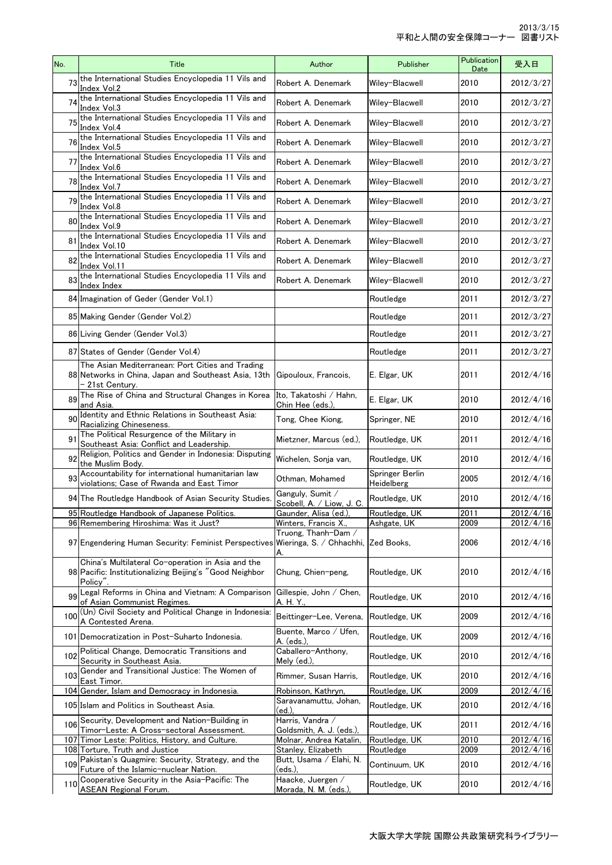| the International Studies Encyclopedia 11 Vils and<br>73<br>2012/3/27<br>Robert A. Denemark<br>Wiley-Blacwell<br>2010<br>Index Vol.2<br>the International Studies Encyclopedia 11 Vils and<br>74<br>2012/3/27<br>Robert A. Denemark<br>Wiley-Blacwell<br>2010<br>Index Vol.3<br>the International Studies Encyclopedia 11 Vils and<br>75<br>2010<br>Robert A. Denemark<br>Wiley-Blacwell<br>Index Vol.4<br>the International Studies Encyclopedia 11 Vils and<br>76<br>Robert A. Denemark<br>Wiley-Blacwell<br>2010<br>Index Vol.5<br>the International Studies Encyclopedia 11 Vils and<br>77<br>Robert A. Denemark<br>Wiley-Blacwell<br>2010<br>Index Vol.6<br>the International Studies Encyclopedia 11 Vils and<br>2012/3/27<br>78<br>Robert A. Denemark<br>Wiley-Blacwell<br>2010<br>Index Vol.7<br>the International Studies Encyclopedia 11 Vils and<br>79<br>2012/3/27<br>Robert A. Denemark<br>Wiley-Blacwell<br>2010<br>Index Vol.8<br>the International Studies Encyclopedia 11 Vils and<br>80<br>2012/3/27<br>Robert A. Denemark<br>Wiley-Blacwell<br>2010<br>Index Vol.9<br>the International Studies Encyclopedia 11 Vils and<br>81<br>Robert A. Denemark<br>Wiley-Blacwell<br>2010<br>Index Vol.10<br>the International Studies Encyclopedia 11 Vils and<br>82<br>Robert A. Denemark<br>Wiley-Blacwell<br>2010<br>Index Vol.11<br>the International Studies Encyclopedia 11 Vils and<br>83<br>2012/3/27<br>Robert A. Denemark<br>Wiley-Blacwell<br>2010<br>Index Index<br>2012/3/27<br>84 Imagination of Geder (Gender Vol.1)<br>Routledge<br>2011<br>2012/3/27<br>85 Making Gender (Gender Vol.2)<br>2011<br>Routledge<br>86 Living Gender (Gender Vol.3)<br>2011<br>Routledge<br>2012/3/27<br>87 States of Gender (Gender Vol.4)<br>2011<br>Routledge<br>The Asian Mediterranean: Port Cities and Trading<br>2012/4/16<br>88 Networks in China, Japan and Southeast Asia, 13th<br>2011<br>Gipouloux, Francois,<br>E. Elgar, UK<br>- 21st Century.<br>The Rise of China and Structural Changes in Korea<br>∣Ito, Takatoshi ∕ Hahn,<br>89<br>2010<br>2012/4/16<br>E. Elgar, UK<br>and Asia.<br>Chin Hee (eds.),<br>Identity and Ethnic Relations in Southeast Asia:<br>90<br>Tong, Chee Kiong,<br>2010<br>2012/4/16<br>Springer, NE<br>Racializing Chineseness.<br>The Political Resurgence of the Military in<br>9<br>Mietzner, Marcus (ed.),<br>2011<br>2012/4/16<br>Routledge, UK<br>Southeast Asia: Conflict and Leadership.<br>Religion, Politics and Gender in Indonesia: Disputing<br>92<br>Wichelen, Sonja van,<br>2012/4/16<br>2010<br>Routledge, UK<br>the Muslim Body.<br>Accountability for international humanitarian law<br>Springer Berlin<br>93<br>2005<br>2012/4/16<br>Othman, Mohamed<br>violations; Case of Rwanda and East Timor<br>Heidelberg<br>Ganguly, Sumit /<br>2010<br>2012/4/16<br>94 The Routledge Handbook of Asian Security Studies.<br>Routledge, UK<br>Scobell, A. / Liow, J. C.<br>2011<br>95 Routledge Handbook of Japanese Politics.<br>Gaunder, Alisa (ed.),<br>Routledge, UK<br>96 Remembering Hiroshima: Was it Just?<br>Winters, Francis X.,<br>Ashgate, UK<br>2009<br>2012/4/16<br>Truong. Thanh-Dam /<br>2006<br>97 Engendering Human Security: Feminist Perspectives Wieringa, S. / Chhachhi, Zed Books,<br>A.<br>China's Multilateral Co-operation in Asia and the<br>98 Pacific: Institutionalizing Beijing's "Good Neighbor<br>2012/4/16<br>Routledge, UK<br>2010<br>Chung, Chien-peng,<br>Policy".<br>Legal Reforms in China and Vietnam: A Comparison<br>Gillespie, John / Chen,<br>99<br>2010<br>2012/4/16<br>Routledge, UK<br>of Asian Communist Regimes.<br>A. H. Y.,<br>(Un) Civil Society and Political Change in Indonesia:<br>Beittinger-Lee, Verena.<br>2009<br>100<br>Routledge, UK<br>2012/4/16<br>A Contested Arena.<br>Buente, Marco / Ufen,<br>101 Democratization in Post-Suharto Indonesia.<br>Routledge, UK<br>2009<br>2012/4/16<br>A. (eds.),<br>Political Change, Democratic Transitions and<br>Caballero-Anthony,<br>102<br>2012/4/16<br>Routledge, UK<br>2010<br>Security in Southeast Asia.<br>Mely $(ed)$ ,<br>Gender and Transitional Justice: The Women of<br>103<br>Rimmer, Susan Harris,<br>Routledge, UK<br>2010<br>2012/4/16<br>East Timor.<br>104 Gender, Islam and Democracy in Indonesia.<br>2009<br>2012/4/16<br>Routledge, UK<br>Robinson, Kathryn,<br>Saravanamuttu, Johan,<br>2012/4/16<br>105 Islam and Politics in Southeast Asia.<br>Routledge, UK<br>2010<br>(ed.),<br>Harris, Vandra /<br>Security, Development and Nation-Building in<br>106<br>2012/4/16<br>Routledge, UK<br>2011<br>Timor-Leste: A Cross-sectoral Assessment.<br>Goldsmith, A. J. (eds.),<br>107 Timor Leste: Politics, History, and Culture.<br>Molnar, Andrea Katalin,<br>Routledge, UK<br>2010<br>2012/4/16<br>108 Torture, Truth and Justice<br>Stanley, Elizabeth<br>Routledge<br>2009<br>2012/4/16<br>Pakistan's Quagmire: Security, Strategy, and the<br>Butt, Usama / Elahi, N.<br>109<br>Continuum, UK<br>2010<br>Future of the Islamic-nuclear Nation.<br>(eds.),<br>Cooperative Security in the Asia-Pacific: The<br>Haacke, Juergen /<br>2010<br>2012/4/16<br>110<br>Routledge, UK<br><b>ASEAN Regional Forum.</b><br>Morada, N. M. (eds.), | No. | Title | Author | Publisher | Publication<br>Date | 受入日       |
|-----------------------------------------------------------------------------------------------------------------------------------------------------------------------------------------------------------------------------------------------------------------------------------------------------------------------------------------------------------------------------------------------------------------------------------------------------------------------------------------------------------------------------------------------------------------------------------------------------------------------------------------------------------------------------------------------------------------------------------------------------------------------------------------------------------------------------------------------------------------------------------------------------------------------------------------------------------------------------------------------------------------------------------------------------------------------------------------------------------------------------------------------------------------------------------------------------------------------------------------------------------------------------------------------------------------------------------------------------------------------------------------------------------------------------------------------------------------------------------------------------------------------------------------------------------------------------------------------------------------------------------------------------------------------------------------------------------------------------------------------------------------------------------------------------------------------------------------------------------------------------------------------------------------------------------------------------------------------------------------------------------------------------------------------------------------------------------------------------------------------------------------------------------------------------------------------------------------------------------------------------------------------------------------------------------------------------------------------------------------------------------------------------------------------------------------------------------------------------------------------------------------------------------------------------------------------------------------------------------------------------------------------------------------------------------------------------------------------------------------------------------------------------------------------------------------------------------------------------------------------------------------------------------------------------------------------------------------------------------------------------------------------------------------------------------------------------------------------------------------------------------------------------------------------------------------------------------------------------------------------------------------------------------------------------------------------------------------------------------------------------------------------------------------------------------------------------------------------------------------------------------------------------------------------------------------------------------------------------------------------------------------------------------------------------------------------------------------------------------------------------------------------------------------------------------------------------------------------------------------------------------------------------------------------------------------------------------------------------------------------------------------------------------------------------------------------------------------------------------------------------------------------------------------------------------------------------------------------------------------------------------------------------------------------------------------------------------------------------------------------------------------------------------------------------------------------------------------------------------------------------------------------------------------------------------------------------------------------------------------------------------------------------------------------------------------------------------------------------------------------------------------------------------------------------------------------------------------------------------------------------------------------------------------------------------------------------------------------------------------------------------------------------------------------------------------------------------------------------------------------------------------------------------------------------------------------------------------------------------|-----|-------|--------|-----------|---------------------|-----------|
|                                                                                                                                                                                                                                                                                                                                                                                                                                                                                                                                                                                                                                                                                                                                                                                                                                                                                                                                                                                                                                                                                                                                                                                                                                                                                                                                                                                                                                                                                                                                                                                                                                                                                                                                                                                                                                                                                                                                                                                                                                                                                                                                                                                                                                                                                                                                                                                                                                                                                                                                                                                                                                                                                                                                                                                                                                                                                                                                                                                                                                                                                                                                                                                                                                                                                                                                                                                                                                                                                                                                                                                                                                                                                                                                                                                                                                                                                                                                                                                                                                                                                                                                                                                                                                                                                                                                                                                                                                                                                                                                                                                                                                                                                                                                                                                                                                                                                                                                                                                                                                                                                                                                                                                                                                   |     |       |        |           |                     |           |
|                                                                                                                                                                                                                                                                                                                                                                                                                                                                                                                                                                                                                                                                                                                                                                                                                                                                                                                                                                                                                                                                                                                                                                                                                                                                                                                                                                                                                                                                                                                                                                                                                                                                                                                                                                                                                                                                                                                                                                                                                                                                                                                                                                                                                                                                                                                                                                                                                                                                                                                                                                                                                                                                                                                                                                                                                                                                                                                                                                                                                                                                                                                                                                                                                                                                                                                                                                                                                                                                                                                                                                                                                                                                                                                                                                                                                                                                                                                                                                                                                                                                                                                                                                                                                                                                                                                                                                                                                                                                                                                                                                                                                                                                                                                                                                                                                                                                                                                                                                                                                                                                                                                                                                                                                                   |     |       |        |           |                     |           |
|                                                                                                                                                                                                                                                                                                                                                                                                                                                                                                                                                                                                                                                                                                                                                                                                                                                                                                                                                                                                                                                                                                                                                                                                                                                                                                                                                                                                                                                                                                                                                                                                                                                                                                                                                                                                                                                                                                                                                                                                                                                                                                                                                                                                                                                                                                                                                                                                                                                                                                                                                                                                                                                                                                                                                                                                                                                                                                                                                                                                                                                                                                                                                                                                                                                                                                                                                                                                                                                                                                                                                                                                                                                                                                                                                                                                                                                                                                                                                                                                                                                                                                                                                                                                                                                                                                                                                                                                                                                                                                                                                                                                                                                                                                                                                                                                                                                                                                                                                                                                                                                                                                                                                                                                                                   |     |       |        |           |                     | 2012/3/27 |
|                                                                                                                                                                                                                                                                                                                                                                                                                                                                                                                                                                                                                                                                                                                                                                                                                                                                                                                                                                                                                                                                                                                                                                                                                                                                                                                                                                                                                                                                                                                                                                                                                                                                                                                                                                                                                                                                                                                                                                                                                                                                                                                                                                                                                                                                                                                                                                                                                                                                                                                                                                                                                                                                                                                                                                                                                                                                                                                                                                                                                                                                                                                                                                                                                                                                                                                                                                                                                                                                                                                                                                                                                                                                                                                                                                                                                                                                                                                                                                                                                                                                                                                                                                                                                                                                                                                                                                                                                                                                                                                                                                                                                                                                                                                                                                                                                                                                                                                                                                                                                                                                                                                                                                                                                                   |     |       |        |           |                     | 2012/3/27 |
|                                                                                                                                                                                                                                                                                                                                                                                                                                                                                                                                                                                                                                                                                                                                                                                                                                                                                                                                                                                                                                                                                                                                                                                                                                                                                                                                                                                                                                                                                                                                                                                                                                                                                                                                                                                                                                                                                                                                                                                                                                                                                                                                                                                                                                                                                                                                                                                                                                                                                                                                                                                                                                                                                                                                                                                                                                                                                                                                                                                                                                                                                                                                                                                                                                                                                                                                                                                                                                                                                                                                                                                                                                                                                                                                                                                                                                                                                                                                                                                                                                                                                                                                                                                                                                                                                                                                                                                                                                                                                                                                                                                                                                                                                                                                                                                                                                                                                                                                                                                                                                                                                                                                                                                                                                   |     |       |        |           |                     | 2012/3/27 |
|                                                                                                                                                                                                                                                                                                                                                                                                                                                                                                                                                                                                                                                                                                                                                                                                                                                                                                                                                                                                                                                                                                                                                                                                                                                                                                                                                                                                                                                                                                                                                                                                                                                                                                                                                                                                                                                                                                                                                                                                                                                                                                                                                                                                                                                                                                                                                                                                                                                                                                                                                                                                                                                                                                                                                                                                                                                                                                                                                                                                                                                                                                                                                                                                                                                                                                                                                                                                                                                                                                                                                                                                                                                                                                                                                                                                                                                                                                                                                                                                                                                                                                                                                                                                                                                                                                                                                                                                                                                                                                                                                                                                                                                                                                                                                                                                                                                                                                                                                                                                                                                                                                                                                                                                                                   |     |       |        |           |                     |           |
|                                                                                                                                                                                                                                                                                                                                                                                                                                                                                                                                                                                                                                                                                                                                                                                                                                                                                                                                                                                                                                                                                                                                                                                                                                                                                                                                                                                                                                                                                                                                                                                                                                                                                                                                                                                                                                                                                                                                                                                                                                                                                                                                                                                                                                                                                                                                                                                                                                                                                                                                                                                                                                                                                                                                                                                                                                                                                                                                                                                                                                                                                                                                                                                                                                                                                                                                                                                                                                                                                                                                                                                                                                                                                                                                                                                                                                                                                                                                                                                                                                                                                                                                                                                                                                                                                                                                                                                                                                                                                                                                                                                                                                                                                                                                                                                                                                                                                                                                                                                                                                                                                                                                                                                                                                   |     |       |        |           |                     |           |
|                                                                                                                                                                                                                                                                                                                                                                                                                                                                                                                                                                                                                                                                                                                                                                                                                                                                                                                                                                                                                                                                                                                                                                                                                                                                                                                                                                                                                                                                                                                                                                                                                                                                                                                                                                                                                                                                                                                                                                                                                                                                                                                                                                                                                                                                                                                                                                                                                                                                                                                                                                                                                                                                                                                                                                                                                                                                                                                                                                                                                                                                                                                                                                                                                                                                                                                                                                                                                                                                                                                                                                                                                                                                                                                                                                                                                                                                                                                                                                                                                                                                                                                                                                                                                                                                                                                                                                                                                                                                                                                                                                                                                                                                                                                                                                                                                                                                                                                                                                                                                                                                                                                                                                                                                                   |     |       |        |           |                     |           |
|                                                                                                                                                                                                                                                                                                                                                                                                                                                                                                                                                                                                                                                                                                                                                                                                                                                                                                                                                                                                                                                                                                                                                                                                                                                                                                                                                                                                                                                                                                                                                                                                                                                                                                                                                                                                                                                                                                                                                                                                                                                                                                                                                                                                                                                                                                                                                                                                                                                                                                                                                                                                                                                                                                                                                                                                                                                                                                                                                                                                                                                                                                                                                                                                                                                                                                                                                                                                                                                                                                                                                                                                                                                                                                                                                                                                                                                                                                                                                                                                                                                                                                                                                                                                                                                                                                                                                                                                                                                                                                                                                                                                                                                                                                                                                                                                                                                                                                                                                                                                                                                                                                                                                                                                                                   |     |       |        |           |                     | 2012/3/27 |
|                                                                                                                                                                                                                                                                                                                                                                                                                                                                                                                                                                                                                                                                                                                                                                                                                                                                                                                                                                                                                                                                                                                                                                                                                                                                                                                                                                                                                                                                                                                                                                                                                                                                                                                                                                                                                                                                                                                                                                                                                                                                                                                                                                                                                                                                                                                                                                                                                                                                                                                                                                                                                                                                                                                                                                                                                                                                                                                                                                                                                                                                                                                                                                                                                                                                                                                                                                                                                                                                                                                                                                                                                                                                                                                                                                                                                                                                                                                                                                                                                                                                                                                                                                                                                                                                                                                                                                                                                                                                                                                                                                                                                                                                                                                                                                                                                                                                                                                                                                                                                                                                                                                                                                                                                                   |     |       |        |           |                     | 2012/3/27 |
|                                                                                                                                                                                                                                                                                                                                                                                                                                                                                                                                                                                                                                                                                                                                                                                                                                                                                                                                                                                                                                                                                                                                                                                                                                                                                                                                                                                                                                                                                                                                                                                                                                                                                                                                                                                                                                                                                                                                                                                                                                                                                                                                                                                                                                                                                                                                                                                                                                                                                                                                                                                                                                                                                                                                                                                                                                                                                                                                                                                                                                                                                                                                                                                                                                                                                                                                                                                                                                                                                                                                                                                                                                                                                                                                                                                                                                                                                                                                                                                                                                                                                                                                                                                                                                                                                                                                                                                                                                                                                                                                                                                                                                                                                                                                                                                                                                                                                                                                                                                                                                                                                                                                                                                                                                   |     |       |        |           |                     |           |
|                                                                                                                                                                                                                                                                                                                                                                                                                                                                                                                                                                                                                                                                                                                                                                                                                                                                                                                                                                                                                                                                                                                                                                                                                                                                                                                                                                                                                                                                                                                                                                                                                                                                                                                                                                                                                                                                                                                                                                                                                                                                                                                                                                                                                                                                                                                                                                                                                                                                                                                                                                                                                                                                                                                                                                                                                                                                                                                                                                                                                                                                                                                                                                                                                                                                                                                                                                                                                                                                                                                                                                                                                                                                                                                                                                                                                                                                                                                                                                                                                                                                                                                                                                                                                                                                                                                                                                                                                                                                                                                                                                                                                                                                                                                                                                                                                                                                                                                                                                                                                                                                                                                                                                                                                                   |     |       |        |           |                     |           |
|                                                                                                                                                                                                                                                                                                                                                                                                                                                                                                                                                                                                                                                                                                                                                                                                                                                                                                                                                                                                                                                                                                                                                                                                                                                                                                                                                                                                                                                                                                                                                                                                                                                                                                                                                                                                                                                                                                                                                                                                                                                                                                                                                                                                                                                                                                                                                                                                                                                                                                                                                                                                                                                                                                                                                                                                                                                                                                                                                                                                                                                                                                                                                                                                                                                                                                                                                                                                                                                                                                                                                                                                                                                                                                                                                                                                                                                                                                                                                                                                                                                                                                                                                                                                                                                                                                                                                                                                                                                                                                                                                                                                                                                                                                                                                                                                                                                                                                                                                                                                                                                                                                                                                                                                                                   |     |       |        |           |                     |           |
|                                                                                                                                                                                                                                                                                                                                                                                                                                                                                                                                                                                                                                                                                                                                                                                                                                                                                                                                                                                                                                                                                                                                                                                                                                                                                                                                                                                                                                                                                                                                                                                                                                                                                                                                                                                                                                                                                                                                                                                                                                                                                                                                                                                                                                                                                                                                                                                                                                                                                                                                                                                                                                                                                                                                                                                                                                                                                                                                                                                                                                                                                                                                                                                                                                                                                                                                                                                                                                                                                                                                                                                                                                                                                                                                                                                                                                                                                                                                                                                                                                                                                                                                                                                                                                                                                                                                                                                                                                                                                                                                                                                                                                                                                                                                                                                                                                                                                                                                                                                                                                                                                                                                                                                                                                   |     |       |        |           |                     | 2012/3/27 |
|                                                                                                                                                                                                                                                                                                                                                                                                                                                                                                                                                                                                                                                                                                                                                                                                                                                                                                                                                                                                                                                                                                                                                                                                                                                                                                                                                                                                                                                                                                                                                                                                                                                                                                                                                                                                                                                                                                                                                                                                                                                                                                                                                                                                                                                                                                                                                                                                                                                                                                                                                                                                                                                                                                                                                                                                                                                                                                                                                                                                                                                                                                                                                                                                                                                                                                                                                                                                                                                                                                                                                                                                                                                                                                                                                                                                                                                                                                                                                                                                                                                                                                                                                                                                                                                                                                                                                                                                                                                                                                                                                                                                                                                                                                                                                                                                                                                                                                                                                                                                                                                                                                                                                                                                                                   |     |       |        |           |                     |           |
|                                                                                                                                                                                                                                                                                                                                                                                                                                                                                                                                                                                                                                                                                                                                                                                                                                                                                                                                                                                                                                                                                                                                                                                                                                                                                                                                                                                                                                                                                                                                                                                                                                                                                                                                                                                                                                                                                                                                                                                                                                                                                                                                                                                                                                                                                                                                                                                                                                                                                                                                                                                                                                                                                                                                                                                                                                                                                                                                                                                                                                                                                                                                                                                                                                                                                                                                                                                                                                                                                                                                                                                                                                                                                                                                                                                                                                                                                                                                                                                                                                                                                                                                                                                                                                                                                                                                                                                                                                                                                                                                                                                                                                                                                                                                                                                                                                                                                                                                                                                                                                                                                                                                                                                                                                   |     |       |        |           |                     |           |
|                                                                                                                                                                                                                                                                                                                                                                                                                                                                                                                                                                                                                                                                                                                                                                                                                                                                                                                                                                                                                                                                                                                                                                                                                                                                                                                                                                                                                                                                                                                                                                                                                                                                                                                                                                                                                                                                                                                                                                                                                                                                                                                                                                                                                                                                                                                                                                                                                                                                                                                                                                                                                                                                                                                                                                                                                                                                                                                                                                                                                                                                                                                                                                                                                                                                                                                                                                                                                                                                                                                                                                                                                                                                                                                                                                                                                                                                                                                                                                                                                                                                                                                                                                                                                                                                                                                                                                                                                                                                                                                                                                                                                                                                                                                                                                                                                                                                                                                                                                                                                                                                                                                                                                                                                                   |     |       |        |           |                     |           |
|                                                                                                                                                                                                                                                                                                                                                                                                                                                                                                                                                                                                                                                                                                                                                                                                                                                                                                                                                                                                                                                                                                                                                                                                                                                                                                                                                                                                                                                                                                                                                                                                                                                                                                                                                                                                                                                                                                                                                                                                                                                                                                                                                                                                                                                                                                                                                                                                                                                                                                                                                                                                                                                                                                                                                                                                                                                                                                                                                                                                                                                                                                                                                                                                                                                                                                                                                                                                                                                                                                                                                                                                                                                                                                                                                                                                                                                                                                                                                                                                                                                                                                                                                                                                                                                                                                                                                                                                                                                                                                                                                                                                                                                                                                                                                                                                                                                                                                                                                                                                                                                                                                                                                                                                                                   |     |       |        |           |                     |           |
|                                                                                                                                                                                                                                                                                                                                                                                                                                                                                                                                                                                                                                                                                                                                                                                                                                                                                                                                                                                                                                                                                                                                                                                                                                                                                                                                                                                                                                                                                                                                                                                                                                                                                                                                                                                                                                                                                                                                                                                                                                                                                                                                                                                                                                                                                                                                                                                                                                                                                                                                                                                                                                                                                                                                                                                                                                                                                                                                                                                                                                                                                                                                                                                                                                                                                                                                                                                                                                                                                                                                                                                                                                                                                                                                                                                                                                                                                                                                                                                                                                                                                                                                                                                                                                                                                                                                                                                                                                                                                                                                                                                                                                                                                                                                                                                                                                                                                                                                                                                                                                                                                                                                                                                                                                   |     |       |        |           |                     |           |
|                                                                                                                                                                                                                                                                                                                                                                                                                                                                                                                                                                                                                                                                                                                                                                                                                                                                                                                                                                                                                                                                                                                                                                                                                                                                                                                                                                                                                                                                                                                                                                                                                                                                                                                                                                                                                                                                                                                                                                                                                                                                                                                                                                                                                                                                                                                                                                                                                                                                                                                                                                                                                                                                                                                                                                                                                                                                                                                                                                                                                                                                                                                                                                                                                                                                                                                                                                                                                                                                                                                                                                                                                                                                                                                                                                                                                                                                                                                                                                                                                                                                                                                                                                                                                                                                                                                                                                                                                                                                                                                                                                                                                                                                                                                                                                                                                                                                                                                                                                                                                                                                                                                                                                                                                                   |     |       |        |           |                     |           |
|                                                                                                                                                                                                                                                                                                                                                                                                                                                                                                                                                                                                                                                                                                                                                                                                                                                                                                                                                                                                                                                                                                                                                                                                                                                                                                                                                                                                                                                                                                                                                                                                                                                                                                                                                                                                                                                                                                                                                                                                                                                                                                                                                                                                                                                                                                                                                                                                                                                                                                                                                                                                                                                                                                                                                                                                                                                                                                                                                                                                                                                                                                                                                                                                                                                                                                                                                                                                                                                                                                                                                                                                                                                                                                                                                                                                                                                                                                                                                                                                                                                                                                                                                                                                                                                                                                                                                                                                                                                                                                                                                                                                                                                                                                                                                                                                                                                                                                                                                                                                                                                                                                                                                                                                                                   |     |       |        |           |                     |           |
|                                                                                                                                                                                                                                                                                                                                                                                                                                                                                                                                                                                                                                                                                                                                                                                                                                                                                                                                                                                                                                                                                                                                                                                                                                                                                                                                                                                                                                                                                                                                                                                                                                                                                                                                                                                                                                                                                                                                                                                                                                                                                                                                                                                                                                                                                                                                                                                                                                                                                                                                                                                                                                                                                                                                                                                                                                                                                                                                                                                                                                                                                                                                                                                                                                                                                                                                                                                                                                                                                                                                                                                                                                                                                                                                                                                                                                                                                                                                                                                                                                                                                                                                                                                                                                                                                                                                                                                                                                                                                                                                                                                                                                                                                                                                                                                                                                                                                                                                                                                                                                                                                                                                                                                                                                   |     |       |        |           |                     |           |
|                                                                                                                                                                                                                                                                                                                                                                                                                                                                                                                                                                                                                                                                                                                                                                                                                                                                                                                                                                                                                                                                                                                                                                                                                                                                                                                                                                                                                                                                                                                                                                                                                                                                                                                                                                                                                                                                                                                                                                                                                                                                                                                                                                                                                                                                                                                                                                                                                                                                                                                                                                                                                                                                                                                                                                                                                                                                                                                                                                                                                                                                                                                                                                                                                                                                                                                                                                                                                                                                                                                                                                                                                                                                                                                                                                                                                                                                                                                                                                                                                                                                                                                                                                                                                                                                                                                                                                                                                                                                                                                                                                                                                                                                                                                                                                                                                                                                                                                                                                                                                                                                                                                                                                                                                                   |     |       |        |           |                     | 2012/4/16 |
|                                                                                                                                                                                                                                                                                                                                                                                                                                                                                                                                                                                                                                                                                                                                                                                                                                                                                                                                                                                                                                                                                                                                                                                                                                                                                                                                                                                                                                                                                                                                                                                                                                                                                                                                                                                                                                                                                                                                                                                                                                                                                                                                                                                                                                                                                                                                                                                                                                                                                                                                                                                                                                                                                                                                                                                                                                                                                                                                                                                                                                                                                                                                                                                                                                                                                                                                                                                                                                                                                                                                                                                                                                                                                                                                                                                                                                                                                                                                                                                                                                                                                                                                                                                                                                                                                                                                                                                                                                                                                                                                                                                                                                                                                                                                                                                                                                                                                                                                                                                                                                                                                                                                                                                                                                   |     |       |        |           |                     | 2012/4/16 |
|                                                                                                                                                                                                                                                                                                                                                                                                                                                                                                                                                                                                                                                                                                                                                                                                                                                                                                                                                                                                                                                                                                                                                                                                                                                                                                                                                                                                                                                                                                                                                                                                                                                                                                                                                                                                                                                                                                                                                                                                                                                                                                                                                                                                                                                                                                                                                                                                                                                                                                                                                                                                                                                                                                                                                                                                                                                                                                                                                                                                                                                                                                                                                                                                                                                                                                                                                                                                                                                                                                                                                                                                                                                                                                                                                                                                                                                                                                                                                                                                                                                                                                                                                                                                                                                                                                                                                                                                                                                                                                                                                                                                                                                                                                                                                                                                                                                                                                                                                                                                                                                                                                                                                                                                                                   |     |       |        |           |                     |           |
|                                                                                                                                                                                                                                                                                                                                                                                                                                                                                                                                                                                                                                                                                                                                                                                                                                                                                                                                                                                                                                                                                                                                                                                                                                                                                                                                                                                                                                                                                                                                                                                                                                                                                                                                                                                                                                                                                                                                                                                                                                                                                                                                                                                                                                                                                                                                                                                                                                                                                                                                                                                                                                                                                                                                                                                                                                                                                                                                                                                                                                                                                                                                                                                                                                                                                                                                                                                                                                                                                                                                                                                                                                                                                                                                                                                                                                                                                                                                                                                                                                                                                                                                                                                                                                                                                                                                                                                                                                                                                                                                                                                                                                                                                                                                                                                                                                                                                                                                                                                                                                                                                                                                                                                                                                   |     |       |        |           |                     |           |
|                                                                                                                                                                                                                                                                                                                                                                                                                                                                                                                                                                                                                                                                                                                                                                                                                                                                                                                                                                                                                                                                                                                                                                                                                                                                                                                                                                                                                                                                                                                                                                                                                                                                                                                                                                                                                                                                                                                                                                                                                                                                                                                                                                                                                                                                                                                                                                                                                                                                                                                                                                                                                                                                                                                                                                                                                                                                                                                                                                                                                                                                                                                                                                                                                                                                                                                                                                                                                                                                                                                                                                                                                                                                                                                                                                                                                                                                                                                                                                                                                                                                                                                                                                                                                                                                                                                                                                                                                                                                                                                                                                                                                                                                                                                                                                                                                                                                                                                                                                                                                                                                                                                                                                                                                                   |     |       |        |           |                     |           |
|                                                                                                                                                                                                                                                                                                                                                                                                                                                                                                                                                                                                                                                                                                                                                                                                                                                                                                                                                                                                                                                                                                                                                                                                                                                                                                                                                                                                                                                                                                                                                                                                                                                                                                                                                                                                                                                                                                                                                                                                                                                                                                                                                                                                                                                                                                                                                                                                                                                                                                                                                                                                                                                                                                                                                                                                                                                                                                                                                                                                                                                                                                                                                                                                                                                                                                                                                                                                                                                                                                                                                                                                                                                                                                                                                                                                                                                                                                                                                                                                                                                                                                                                                                                                                                                                                                                                                                                                                                                                                                                                                                                                                                                                                                                                                                                                                                                                                                                                                                                                                                                                                                                                                                                                                                   |     |       |        |           |                     |           |
|                                                                                                                                                                                                                                                                                                                                                                                                                                                                                                                                                                                                                                                                                                                                                                                                                                                                                                                                                                                                                                                                                                                                                                                                                                                                                                                                                                                                                                                                                                                                                                                                                                                                                                                                                                                                                                                                                                                                                                                                                                                                                                                                                                                                                                                                                                                                                                                                                                                                                                                                                                                                                                                                                                                                                                                                                                                                                                                                                                                                                                                                                                                                                                                                                                                                                                                                                                                                                                                                                                                                                                                                                                                                                                                                                                                                                                                                                                                                                                                                                                                                                                                                                                                                                                                                                                                                                                                                                                                                                                                                                                                                                                                                                                                                                                                                                                                                                                                                                                                                                                                                                                                                                                                                                                   |     |       |        |           |                     |           |
|                                                                                                                                                                                                                                                                                                                                                                                                                                                                                                                                                                                                                                                                                                                                                                                                                                                                                                                                                                                                                                                                                                                                                                                                                                                                                                                                                                                                                                                                                                                                                                                                                                                                                                                                                                                                                                                                                                                                                                                                                                                                                                                                                                                                                                                                                                                                                                                                                                                                                                                                                                                                                                                                                                                                                                                                                                                                                                                                                                                                                                                                                                                                                                                                                                                                                                                                                                                                                                                                                                                                                                                                                                                                                                                                                                                                                                                                                                                                                                                                                                                                                                                                                                                                                                                                                                                                                                                                                                                                                                                                                                                                                                                                                                                                                                                                                                                                                                                                                                                                                                                                                                                                                                                                                                   |     |       |        |           |                     |           |
|                                                                                                                                                                                                                                                                                                                                                                                                                                                                                                                                                                                                                                                                                                                                                                                                                                                                                                                                                                                                                                                                                                                                                                                                                                                                                                                                                                                                                                                                                                                                                                                                                                                                                                                                                                                                                                                                                                                                                                                                                                                                                                                                                                                                                                                                                                                                                                                                                                                                                                                                                                                                                                                                                                                                                                                                                                                                                                                                                                                                                                                                                                                                                                                                                                                                                                                                                                                                                                                                                                                                                                                                                                                                                                                                                                                                                                                                                                                                                                                                                                                                                                                                                                                                                                                                                                                                                                                                                                                                                                                                                                                                                                                                                                                                                                                                                                                                                                                                                                                                                                                                                                                                                                                                                                   |     |       |        |           |                     |           |
|                                                                                                                                                                                                                                                                                                                                                                                                                                                                                                                                                                                                                                                                                                                                                                                                                                                                                                                                                                                                                                                                                                                                                                                                                                                                                                                                                                                                                                                                                                                                                                                                                                                                                                                                                                                                                                                                                                                                                                                                                                                                                                                                                                                                                                                                                                                                                                                                                                                                                                                                                                                                                                                                                                                                                                                                                                                                                                                                                                                                                                                                                                                                                                                                                                                                                                                                                                                                                                                                                                                                                                                                                                                                                                                                                                                                                                                                                                                                                                                                                                                                                                                                                                                                                                                                                                                                                                                                                                                                                                                                                                                                                                                                                                                                                                                                                                                                                                                                                                                                                                                                                                                                                                                                                                   |     |       |        |           |                     |           |
|                                                                                                                                                                                                                                                                                                                                                                                                                                                                                                                                                                                                                                                                                                                                                                                                                                                                                                                                                                                                                                                                                                                                                                                                                                                                                                                                                                                                                                                                                                                                                                                                                                                                                                                                                                                                                                                                                                                                                                                                                                                                                                                                                                                                                                                                                                                                                                                                                                                                                                                                                                                                                                                                                                                                                                                                                                                                                                                                                                                                                                                                                                                                                                                                                                                                                                                                                                                                                                                                                                                                                                                                                                                                                                                                                                                                                                                                                                                                                                                                                                                                                                                                                                                                                                                                                                                                                                                                                                                                                                                                                                                                                                                                                                                                                                                                                                                                                                                                                                                                                                                                                                                                                                                                                                   |     |       |        |           |                     |           |
|                                                                                                                                                                                                                                                                                                                                                                                                                                                                                                                                                                                                                                                                                                                                                                                                                                                                                                                                                                                                                                                                                                                                                                                                                                                                                                                                                                                                                                                                                                                                                                                                                                                                                                                                                                                                                                                                                                                                                                                                                                                                                                                                                                                                                                                                                                                                                                                                                                                                                                                                                                                                                                                                                                                                                                                                                                                                                                                                                                                                                                                                                                                                                                                                                                                                                                                                                                                                                                                                                                                                                                                                                                                                                                                                                                                                                                                                                                                                                                                                                                                                                                                                                                                                                                                                                                                                                                                                                                                                                                                                                                                                                                                                                                                                                                                                                                                                                                                                                                                                                                                                                                                                                                                                                                   |     |       |        |           |                     |           |
|                                                                                                                                                                                                                                                                                                                                                                                                                                                                                                                                                                                                                                                                                                                                                                                                                                                                                                                                                                                                                                                                                                                                                                                                                                                                                                                                                                                                                                                                                                                                                                                                                                                                                                                                                                                                                                                                                                                                                                                                                                                                                                                                                                                                                                                                                                                                                                                                                                                                                                                                                                                                                                                                                                                                                                                                                                                                                                                                                                                                                                                                                                                                                                                                                                                                                                                                                                                                                                                                                                                                                                                                                                                                                                                                                                                                                                                                                                                                                                                                                                                                                                                                                                                                                                                                                                                                                                                                                                                                                                                                                                                                                                                                                                                                                                                                                                                                                                                                                                                                                                                                                                                                                                                                                                   |     |       |        |           |                     | 2012/4/16 |
|                                                                                                                                                                                                                                                                                                                                                                                                                                                                                                                                                                                                                                                                                                                                                                                                                                                                                                                                                                                                                                                                                                                                                                                                                                                                                                                                                                                                                                                                                                                                                                                                                                                                                                                                                                                                                                                                                                                                                                                                                                                                                                                                                                                                                                                                                                                                                                                                                                                                                                                                                                                                                                                                                                                                                                                                                                                                                                                                                                                                                                                                                                                                                                                                                                                                                                                                                                                                                                                                                                                                                                                                                                                                                                                                                                                                                                                                                                                                                                                                                                                                                                                                                                                                                                                                                                                                                                                                                                                                                                                                                                                                                                                                                                                                                                                                                                                                                                                                                                                                                                                                                                                                                                                                                                   |     |       |        |           |                     |           |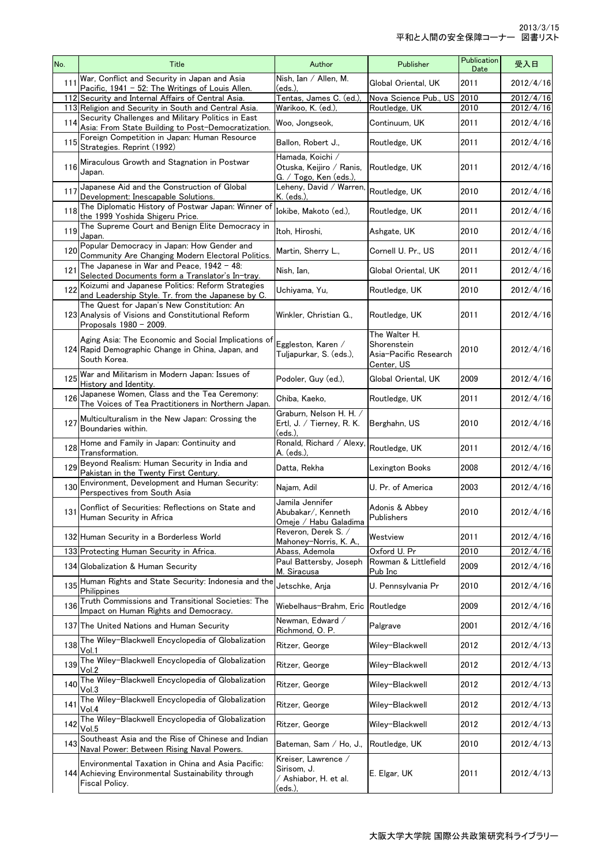| No. | Title                                                                                                                     | Author                                                                 | Publisher                                                           | Publication<br>Date | 受入日       |
|-----|---------------------------------------------------------------------------------------------------------------------------|------------------------------------------------------------------------|---------------------------------------------------------------------|---------------------|-----------|
| 111 | War, Conflict and Security in Japan and Asia<br>Pacific, 1941 - 52: The Writings of Louis Allen.                          | Nish, Ian / Allen, M.<br>(eds.).                                       | Global Oriental, UK                                                 | 2011                | 2012/4/16 |
|     | 112 Security and Internal Affairs of Central Asia.                                                                        | Tentas, James C. (ed.)                                                 | Nova Science Pub., US 2010                                          |                     | 2012/4/16 |
|     | 113 Religion and Security in South and Central Asia.                                                                      | Warikoo, K. (ed.)                                                      | Routledge, UK                                                       | 2010                | 2012/4/16 |
| 114 | Security Challenges and Military Politics in East<br>Asia: From State Building to Post-Democratization.                   | Woo, Jongseok,                                                         | Continuum, UK                                                       | 2011                | 2012/4/16 |
| 115 | Foreign Competition in Japan: Human Resource<br>Strategies. Reprint (1992)                                                | Ballon, Robert J.,                                                     | Routledge, UK                                                       | 2011                | 2012/4/16 |
| 116 | Miraculous Growth and Stagnation in Postwar<br>Japan.                                                                     | Hamada, Koichi /<br>Otuska, Keijiro / Ranis,<br>G. / Togo, Ken (eds.), | Routledge, UK                                                       | 2011                | 2012/4/16 |
| 117 | Japanese Aid and the Construction of Global<br>Development: Inescapable Solutions.                                        | Leheny, David / Warren,<br>K. (eds.)                                   | Routledge, UK                                                       | 2010                | 2012/4/16 |
| 118 | The Diplomatic History of Postwar Japan: Winner of<br>the 1999 Yoshida Shigeru Price.                                     | Iokibe, Makoto (ed.),                                                  | Routledge, UK                                                       | 2011                | 2012/4/16 |
| 119 | The Supreme Court and Benign Elite Democracy in<br>Japan.                                                                 | Itoh, Hiroshi,                                                         | Ashgate, UK                                                         | 2010                | 2012/4/16 |
| 120 | Popular Democracy in Japan: How Gender and<br>Community Are Changing Modern Electoral Politics.                           | Martin, Sherry L.,                                                     | Cornell U. Pr., US                                                  | 2011                | 2012/4/16 |
| 121 | The Japanese in War and Peace, $1942 - 48$ :<br>Selected Documents form a Translator's In-tray.                           | Nish, Ian,                                                             | Global Oriental, UK                                                 | 2011                | 2012/4/16 |
| 122 | Koizumi and Japanese Politics: Reform Strategies<br>and Leadership Style. Tr. from the Japanese by C.                     | Uchiyama, Yu,                                                          | Routledge, UK                                                       | 2010                | 2012/4/16 |
|     | The Quest for Japan's New Constitution: An<br>123 Analysis of Visions and Constitutional Reform<br>Proposals 1980 - 2009. | Winkler, Christian G.,                                                 | Routledge, UK                                                       | 2011                | 2012/4/16 |
|     | Aging Asia: The Economic and Social Implications of<br>124 Rapid Demographic Change in China, Japan, and<br>South Korea.  | Eggleston, Karen /<br>Tuljapurkar, S. (eds.),                          | The Walter H.<br>Shorenstein<br>Asia-Pacific Research<br>Center, US | 2010                | 2012/4/16 |
| 125 | War and Militarism in Modern Japan: Issues of<br>History and Identity.                                                    | Podoler, Guy (ed.),                                                    | Global Oriental, UK                                                 | 2009                | 2012/4/16 |
| 126 | Japanese Women, Class and the Tea Ceremony:<br>The Voices of Tea Practitioners in Northern Japan.                         | Chiba, Kaeko,                                                          | Routledge, UK                                                       | 2011                | 2012/4/16 |
| 127 | Multiculturalism in the New Japan: Crossing the<br>Boundaries within.                                                     | Graburn, Nelson H. H. /<br>Ertl, J. / Tierney, R. K.<br>(eds.),        | Berghahn, US                                                        | 2010                | 2012/4/16 |
| 128 | Home and Family in Japan: Continuity and<br>Transformation.                                                               | Ronald, Richard / Alexy,<br>A. (eds.),                                 | Routledge, UK                                                       | 2011                | 2012/4/16 |
| 129 | Beyond Realism: Human Security in India and<br>Pakistan in the Twenty First Century.                                      | Datta, Rekha                                                           | Lexington Books                                                     | 2008                | 2012/4/16 |
| 130 | Environment, Development and Human Security:<br>Perspectives from South Asia                                              | Najam, Adil                                                            | U. Pr. of America                                                   | 2003                | 2012/4/16 |
|     | 131 Conflict of Securities: Reflections on State and<br>Human Security in Africa                                          | Jamila Jennifer<br>Abubakar/, Kenneth<br>Omeje / Habu Galadima         | Adonis & Abbey<br>Publishers                                        | 2010                | 2012/4/16 |
|     | 132 Human Security in a Borderless World                                                                                  | Reveron, Derek S. /<br>Mahoney-Norris, K. A.,                          | Westview                                                            | 2011                | 2012/4/16 |
|     | 133 Protecting Human Security in Africa.                                                                                  | Abass, Ademola                                                         | Oxford U. Pr                                                        | 2010                | 2012/4/16 |
|     | 134 Globalization & Human Security                                                                                        | Paul Battersby, Joseph<br>M. Siracusa                                  | Rowman & Littlefield<br>Pub Inc                                     | 2009                | 2012/4/16 |
| 135 | Human Rights and State Security: Indonesia and the<br>Philippines                                                         | Jetschke, Ania                                                         | U. Pennsylvania Pr                                                  | 2010                | 2012/4/16 |
| 136 | Truth Commissions and Transitional Societies: The<br>Impact on Human Rights and Democracy.                                | Wiebelhaus-Brahm, Eric                                                 | Routledge                                                           | 2009                | 2012/4/16 |
|     | 137 The United Nations and Human Security                                                                                 | Newman, Edward /<br>Richmond, O. P.                                    | Palgrave                                                            | 2001                | 2012/4/16 |
| 138 | The Wiley-Blackwell Encyclopedia of Globalization<br>Vol.1                                                                | Ritzer, George                                                         | Wiley-Blackwell                                                     | 2012                | 2012/4/13 |
| 139 | The Wiley-Blackwell Encyclopedia of Globalization<br>Vol.2                                                                | Ritzer, George                                                         | Wiley-Blackwell                                                     | 2012                | 2012/4/13 |
| 140 | The Wiley-Blackwell Encyclopedia of Globalization<br>Vol.3                                                                | Ritzer, George                                                         | Wiley-Blackwell                                                     | 2012                | 2012/4/13 |
| 141 | The Wiley-Blackwell Encyclopedia of Globalization<br>Vol.4                                                                | Ritzer, George                                                         | Wiley-Blackwell                                                     | 2012                | 2012/4/13 |
| 142 | The Wiley-Blackwell Encyclopedia of Globalization<br>Vol.5                                                                | Ritzer, George                                                         | Wiley-Blackwell                                                     | 2012                | 2012/4/13 |
| 143 | Southeast Asia and the Rise of Chinese and Indian<br>Naval Power: Between Rising Naval Powers.                            | Bateman, Sam / Ho, J.,                                                 | Routledge, UK                                                       | 2010                | 2012/4/13 |
|     | Environmental Taxation in China and Asia Pacific:<br>144 Achieving Environmental Sustainability through<br>Fiscal Policy. | Kreiser, Lawrence /<br>Sirisom, J.<br>/ Ashiabor, H. et al.<br>(eds.), | E. Elgar, UK                                                        | 2011                | 2012/4/13 |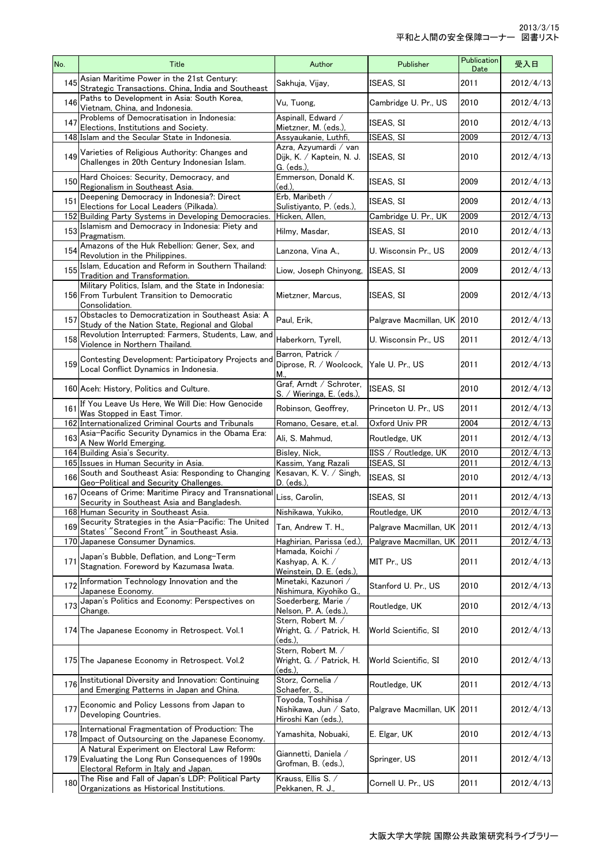| No. | Title                                                                                                                                      | Author                                                              | Publisher                   | Publication<br>Date | 受入日       |
|-----|--------------------------------------------------------------------------------------------------------------------------------------------|---------------------------------------------------------------------|-----------------------------|---------------------|-----------|
| 145 | Asian Maritime Power in the 21st Century:<br>Strategic Transactions. China, India and Southeast                                            | Sakhuja, Vijay,                                                     | ISEAS, SI                   | 2011                | 2012/4/13 |
| 146 | Paths to Development in Asia: South Korea,<br>Vietnam, China, and Indonesia.                                                               | Vu, Tuong,                                                          | Cambridge U. Pr., US        | 2010                | 2012/4/13 |
| 147 | Problems of Democratisation in Indonesia:<br>Elections, Institutions and Society.                                                          | Aspinall, Edward /<br>Mietzner, M. (eds.),                          | ISEAS, SI                   | 2010                | 2012/4/13 |
|     | 148 Islam and the Secular State in Indonesia.                                                                                              | Assyaukanie, Luthfi,                                                | ISEAS, SI                   | 2009                | 2012/4/13 |
| 149 | Varieties of Religious Authority: Changes and<br>Challenges in 20th Century Indonesian Islam.                                              | Azra, Azyumardi / van<br>Dijk, K. / Kaptein, N. J.<br>G. (eds.),    | ISEAS, SI                   | 2010                | 2012/4/13 |
| 150 | Hard Choices: Security, Democracy, and<br>Regionalism in Southeast Asia.                                                                   | Emmerson, Donald K.<br>(ed.),                                       | <b>ISEAS. SI</b>            | 2009                | 2012/4/13 |
| 151 | Deepening Democracy in Indonesia?: Direct<br>Elections for Local Leaders (Pilkada).                                                        | Erb, Maribeth /<br>Sulistiyanto, P. (eds.),                         | ISEAS, SI                   | 2009                | 2012/4/13 |
|     | 152 Building Party Systems in Developing Democracies.                                                                                      | Hicken, Allen,                                                      | Cambridge U. Pr., UK        | 2009                | 2012/4/13 |
| 153 | Islamism and Democracy in Indonesia: Piety and<br>Pragmatism.                                                                              | Hilmy, Masdar,                                                      | <b>ISEAS, SI</b>            | 2010                | 2012/4/13 |
| 154 | Amazons of the Huk Rebellion: Gener, Sex, and<br>Revolution in the Philippines.                                                            | Lanzona, Vina A.,                                                   | U. Wisconsin Pr., US        | 2009                | 2012/4/13 |
| 155 | Islam, Education and Reform in Southern Thailand:<br>Tradition and Transformation.                                                         | Liow, Joseph Chinyong,                                              | ISEAS. SI                   | 2009                | 2012/4/13 |
|     | Military Politics, Islam, and the State in Indonesia:<br>156 From Turbulent Transition to Democratic<br>Consolidation.                     | Mietzner, Marcus,                                                   | ISEAS, SI                   | 2009                | 2012/4/13 |
| 157 | Obstacles to Democratization in Southeast Asia: A<br>Study of the Nation State, Regional and Global                                        | Paul, Erik,                                                         | Palgrave Macmillan, UK 2010 |                     | 2012/4/13 |
| 158 | Revolution Interrupted: Farmers, Students, Law, and<br>Violence in Northern Thailand.                                                      | Haberkorn, Tyrell,                                                  | U. Wisconsin Pr., US        | 2011                | 2012/4/13 |
| 159 | Contesting Development: Participatory Projects and<br>Local Conflict Dynamics in Indonesia.                                                | Barron, Patrick /<br>Diprose, R. / Woolcock,<br>М                   | Yale U. Pr., US             | 2011                | 2012/4/13 |
|     | 160 Aceh: History, Politics and Culture.                                                                                                   | Graf, Arndt / Schroter,<br>S. / Wieringa, E. (eds.),                | <b>ISEAS, SI</b>            | 2010                | 2012/4/13 |
| 161 | If You Leave Us Here, We Will Die: How Genocide<br>Was Stopped in East Timor.                                                              | Robinson, Geoffrey,                                                 | Princeton U. Pr., US        | 2011                | 2012/4/13 |
|     | 162 Internationalized Criminal Courts and Tribunals                                                                                        | Romano, Cesare, et.al.                                              | Oxford Univ PR              | 2004                | 2012/4/13 |
| 163 | Asia-Pacific Security Dynamics in the Obama Era:<br>A New World Emerging.                                                                  | Ali, S. Mahmud,                                                     | Routledge, UK               | 2011                | 2012/4/13 |
|     | 164 Building Asia's Security.                                                                                                              | Bisley, Nick,                                                       | IISS / Routledge, UK        | 2010                | 2012/4/13 |
|     | 165 Issues in Human Security in Asia.                                                                                                      | Kassim, Yang Razali                                                 | ISEAS, SI                   | 2011                | 2012/4/13 |
| 166 | South and Southeast Asia: Responding to Changing<br>Geo-Political and Security Challenges.                                                 | Kesavan, K. V. / Singh,<br>D. (eds.),                               | <b>ISEAS, SI</b>            | 2010                | 2012/4/13 |
| 167 | Oceans of Crime: Maritime Piracy and Transnational<br>Security in Southeast Asia and Bangladesh.                                           | Liss, Carolin,                                                      | ISEAS, SI                   | 2011                | 2012/4/13 |
|     | 168 Human Security in Southeast Asia.                                                                                                      | Nishikawa, Yukiko,                                                  | Routledge, UK               | 2010                | 2012/4/13 |
|     | 169 Security Strategies in the Asia-Pacific: The United<br>States' "Second Front" in Southeast Asia.                                       | Tan, Andrew T. H.,                                                  | Palgrave Macmillan, UK 2011 |                     | 2012/4/13 |
|     | 170 Japanese Consumer Dynamics.                                                                                                            | Haghirian, Parissa (ed.)                                            | Palgrave Macmillan, UK 2011 |                     | 2012/4/13 |
| 171 | Japan's Bubble, Deflation, and Long-Term<br>Stagnation. Foreword by Kazumasa Iwata.                                                        | Hamada, Koichi /<br>Kashyap, A.K. /<br>Weinstein, D. E. (eds.),     | MIT Pr., US                 | 2011                | 2012/4/13 |
| 172 | Information Technology Innovation and the<br>Japanese Economy.                                                                             | Minetaki, Kazunori /<br>Nishimura, Kiyohiko G.,                     | Stanford U. Pr., US         | 2010                | 2012/4/13 |
| 173 | Japan's Politics and Economy: Perspectives on<br>Change.                                                                                   | Soederberg, Marie /<br>Nelson, P. A. (eds.),                        | Routledge, UK               | 2010                | 2012/4/13 |
|     | 174 The Japanese Economy in Retrospect. Vol.1                                                                                              | Stern, Robert M. /<br>Wright, G. / Patrick, H.<br>(eds.).           | World Scientific, SI        | 2010                | 2012/4/13 |
|     | 175 The Japanese Economy in Retrospect. Vol.2                                                                                              | Stern, Robert M. /<br>Wright, G. / Patrick, H.<br>(eds.),           | World Scientific, SI        | 2010                | 2012/4/13 |
| 176 | Institutional Diversity and Innovation: Continuing<br>and Emerging Patterns in Japan and China.                                            | Storz, Cornelia /<br>Schaefer, S.,                                  | Routledge, UK               | 2011                | 2012/4/13 |
| 177 | Economic and Policy Lessons from Japan to<br>Developing Countries.                                                                         | Toyoda, Toshihisa /<br>Nishikawa, Jun / Sato,<br>Hiroshi Kan (eds.) | Palgrave Macmillan, UK      | 2011                | 2012/4/13 |
| 178 | International Fragmentation of Production: The<br>Impact of Outsourcing on the Japanese Economy.                                           | Yamashita, Nobuaki,                                                 | E. Elgar, UK                | 2010                | 2012/4/13 |
|     | A Natural Experiment on Electoral Law Reform:<br>179 Evaluating the Long Run Consequences of 1990s<br>Electoral Reform in Italy and Japan. | Giannetti, Daniela /<br>Grofman, B. (eds.),                         | Springer, US                | 2011                | 2012/4/13 |
| 180 | The Rise and Fall of Japan's LDP: Political Party<br>Organizations as Historical Institutions.                                             | Krauss, Ellis S. /<br>Pekkanen, R. J.                               | Cornell U. Pr., US          | 2011                | 2012/4/13 |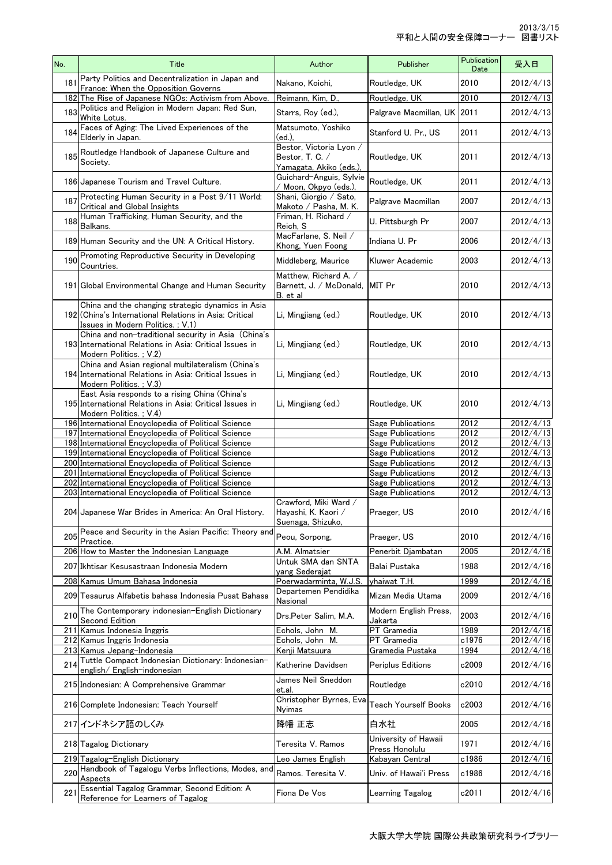| No. | Title                                                                                                                                            | Author                                                               | Publisher                                  | Publication<br>Date | 受入日                    |
|-----|--------------------------------------------------------------------------------------------------------------------------------------------------|----------------------------------------------------------------------|--------------------------------------------|---------------------|------------------------|
| 181 | Party Politics and Decentralization in Japan and<br>France: When the Opposition Governs                                                          | Nakano, Koichi,                                                      | Routledge, UK                              | 2010                | 2012/4/13              |
|     | 182 The Rise of Japanese NGOs: Activism from Above.                                                                                              | Reimann, Kim, D.,                                                    | Routledge, UK                              | 2010                | 2012/4/13              |
| 183 | Politics and Religion in Modern Japan: Red Sun,<br>White Lotus.                                                                                  | Starrs, Rov (ed.).                                                   | Palgrave Macmillan, UK 2011                |                     | 2012/4/13              |
| 184 | Faces of Aging: The Lived Experiences of the<br>Elderly in Japan.                                                                                | Matsumoto, Yoshiko<br>(ed.).                                         | Stanford U. Pr., US                        | 2011                | 2012/4/13              |
| 185 | Routledge Handbook of Japanese Culture and<br>Society.                                                                                           | Bestor, Victoria Lyon /<br>Bestor, T. C. /<br>Yamagata, Akiko (eds.) | Routledge, UK                              | 2011                | 2012/4/13              |
|     | 186 Japanese Tourism and Travel Culture.                                                                                                         | Guichard-Anguis, Sylvie<br>/ Moon, Okpyo (eds.),                     | Routledge, UK                              | 2011                | 2012/4/13              |
| 187 | Protecting Human Security in a Post 9/11 World:<br>Critical and Global Insights                                                                  | Shani, Giorgio / Sato,<br>Makoto / Pasha, M. K.                      | Palgrave Macmillan                         | 2007                | 2012/4/13              |
| 188 | Human Trafficking, Human Security, and the<br>Balkans.                                                                                           | Friman, H. Richard /<br>Reich, S                                     | U. Pittsburgh Pr                           | 2007                | 2012/4/13              |
|     | 189 Human Security and the UN: A Critical History.                                                                                               | MacFarlane, S. Neil /<br>Khong, Yuen Foong                           | Indiana U. Pr                              | 2006                | 2012/4/13              |
| 190 | Promoting Reproductive Security in Developing<br>Countries.                                                                                      | Middleberg, Maurice                                                  | Kluwer Academic                            | 2003                | 2012/4/13              |
|     | 191 Global Environmental Change and Human Security                                                                                               | Matthew, Richard A. /<br>Barnett, J. / McDonald,<br>B. et al         | MIT Pr                                     | 2010                | 2012/4/13              |
|     | China and the changing strategic dynamics in Asia<br>192 (China's International Relations in Asia: Critical<br>Issues in Modern Politics. ; V.1) | Li, Mingjiang (ed.)                                                  | Routledge, UK                              | 2010                | 2012/4/13              |
|     | China and non-traditional security in Asia (China's<br>193 International Relations in Asia: Critical Issues in<br>Modern Politics.; V.2)         | Li, Mingjiang (ed.)                                                  | Routledge, UK                              | 2010                | 2012/4/13              |
|     | China and Asian regional multilateralism (China's<br>194 International Relations in Asia: Critical Issues in<br>Modern Politics. ; V.3)          | Li, Mingjiang (ed.)                                                  | Routledge, UK                              | 2010                | 2012/4/13              |
|     | East Asia responds to a rising China (China's<br>195 International Relations in Asia: Critical Issues in<br>Modern Politics.; V.4)               | Li, Mingjiang (ed.)                                                  | Routledge, UK                              | 2010                | 2012/4/13              |
|     | 196 International Encyclopedia of Political Science                                                                                              |                                                                      | Sage Publications                          | 2012                | 2012/4/13              |
|     | 197 International Encyclopedia of Political Science<br>198 International Encyclopedia of Political Science                                       |                                                                      | Sage Publications<br>Sage Publications     | 2012<br>2012        | 2012/4/13<br>2012/4/13 |
|     | 199 International Encyclopedia of Political Science                                                                                              |                                                                      | Sage Publications                          | 2012                | $2012/4/\overline{13}$ |
|     | 200 International Encyclopedia of Political Science                                                                                              |                                                                      | Sage Publications                          | 2012                | 2012/4/13              |
|     | 201 International Encyclopedia of Political Science<br>202 International Encyclopedia of Political Science                                       |                                                                      | Sage Publications<br>Sage Publications     | 2012<br>2012        | 2012/4/13<br>2012/4/13 |
|     | 203 International Encyclopedia of Political Science                                                                                              |                                                                      | Sage Publications                          | 2012                | 2012/4/13              |
|     | 204 Japanese War Brides in America: An Oral History.                                                                                             | Crawford, Miki Ward /<br>Hayashi, K. Kaori /<br>Suenaga, Shizuko,    | Praeger, US                                | 2010                | 2012/4/16              |
| 205 | Peace and Security in the Asian Pacific: Theory and<br>Practice.                                                                                 | Peou, Sorpong,                                                       | Praeger, US                                | 2010                | 2012/4/16              |
|     | 206 How to Master the Indonesian Language                                                                                                        | A.M. Almatsier<br>Untuk SMA dan SNTA                                 | Penerbit Djambatan                         | 2005                | 2012/4/16              |
|     | 207 Ikhtisar Kesusastraan Indonesia Modern                                                                                                       | yang Sederajat                                                       | Balai Pustaka                              | 1988                | 2012/4/16              |
|     | 208 Kamus Umum Bahasa Indonesia                                                                                                                  | Poerwadarminta, W.J.S.<br>Departemen Pendidika                       | yhaiwat T.H.                               | 1999                | 2012/4/16              |
|     | 209 Tesaurus Alfabetis bahasa Indonesia Pusat Bahasa<br>The Contemporary indonesian-English Dictionary                                           | Nasional                                                             | Mizan Media Utama<br>Modern English Press, | 2009                | 2012/4/16              |
| 210 | Second Edition                                                                                                                                   | Drs.Peter Salim, M.A.                                                | Jakarta                                    | 2003                | 2012/4/16              |
|     | 211 Kamus Indonesia Inggris<br>212 Kamus Inggris Indonesia                                                                                       | Echols, John M.<br>Echols, John M.                                   | PT Gramedia<br>PT Gramedia                 | 1989<br>c1976       | 2012/4/16<br>2012/4/16 |
|     | 213 Kamus Jepang-Indonesia                                                                                                                       | Kenji Matsuura                                                       | Gramedia Pustaka                           | 1994                | 2012/4/16              |
| 214 | Tuttle Compact Indonesian Dictionary: Indonesian-<br>english/English-indonesian                                                                  | Katherine Davidsen                                                   | Periplus Editions                          | c2009               | 2012/4/16              |
|     | 215 Indonesian: A Comprehensive Grammar                                                                                                          | James Neil Sneddon<br>et.al.                                         | Routledge                                  | c2010               | 2012/4/16              |
|     | 216 Complete Indonesian: Teach Yourself                                                                                                          | Christopher Byrnes, Eva<br>Nyimas                                    | Teach Yourself Books                       | c2003               | 2012/4/16              |
|     | 217 インドネシア語のしくみ                                                                                                                                  | 降幡 正志                                                                | 白水社                                        | 2005                | 2012/4/16              |
|     | 218 Tagalog Dictionary                                                                                                                           | Teresita V. Ramos                                                    | University of Hawaii<br>Press Honolulu     | 1971                | 2012/4/16              |
|     | 219 Tagalog-English Dictionary                                                                                                                   | Leo James English                                                    | Kabayan Central                            | c1986               | 2012/4/16              |
| 220 | Handbook of Tagalogu Verbs Inflections, Modes, and<br>Aspects                                                                                    | Ramos. Teresita V.                                                   | Univ. of Hawai'i Press                     | c1986               | 2012/4/16              |
| 221 | Essential Tagalog Grammar, Second Edition: A<br>Reference for Learners of Tagalog                                                                | Fiona De Vos                                                         | Learning Tagalog                           | c2011               | 2012/4/16              |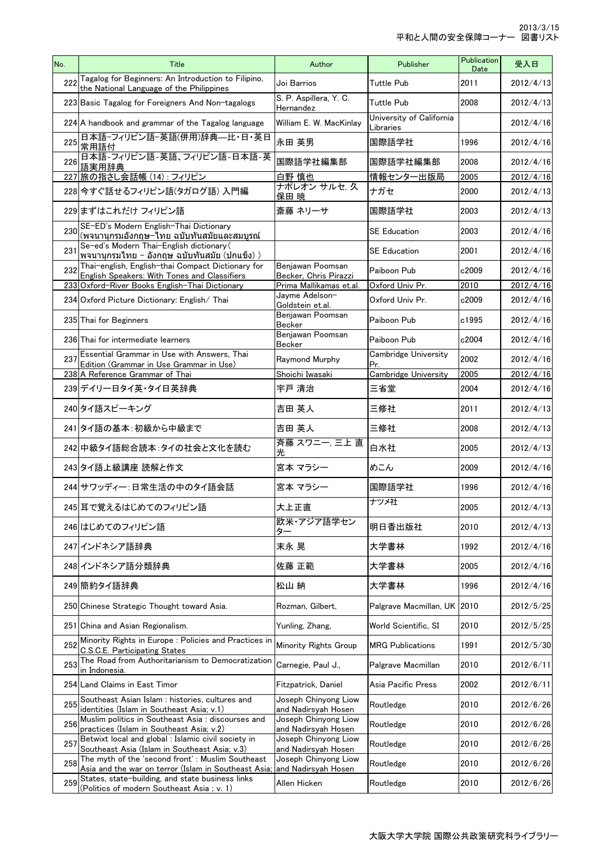| No. | Title                                                                                                                        | Author                                      | Publisher                             | Publication<br>Date | 受入日       |
|-----|------------------------------------------------------------------------------------------------------------------------------|---------------------------------------------|---------------------------------------|---------------------|-----------|
|     | 222 Tagalog for Beginners: An Introduction to Filipino,<br>the National Language of the Philippines                          | Joi Barrios                                 | <b>Tuttle Pub</b>                     | 2011                | 2012/4/13 |
|     | 223 Basic Tagalog for Foreigners And Non-tagalogs                                                                            | S. P. Aspillera, Y. C.<br>Hernandez         | <b>Tuttle Pub</b>                     | 2008                | 2012/4/13 |
|     | 224 A handbook and grammar of the Tagalog language                                                                           | William E. W. MacKinlay                     | University of California<br>Libraries |                     | 2012/4/16 |
| 225 | 日本語-フィリピン語-英語(併用)辞典–比·日·英日<br>常用語付                                                                                           | 永田 英男                                       | 国際語学社                                 | 1996                | 2012/4/16 |
|     | 226 日本語-フィリピン語-英語、フィリピン語-日本語-英<br>語実用辞典                                                                                      | 国際語学社編集部                                    | 国際語学社編集部                              | 2008                | 2012/4/16 |
|     | 227 旅の指さし会話帳 (14): フィリピン                                                                                                     | 白野 慎也                                       | 情報センター出版局                             | 2005                | 2012/4/16 |
|     | 228 今すぐ話せるフィリピン語(タガログ語) 入門編                                                                                                  | ナポレオン サルセ, 久<br>保田 暁                        | ナガセ                                   | 2000                | 2012/4/13 |
|     | 229まずはこれだけ フィリピン語                                                                                                            | 斎藤 ネリーサ                                     | 国際語学社                                 | 2003                | 2012/4/13 |
|     | 230 SE-ED's Modern English-Thai Dictionary<br>ี(พจนานุกรมอังกฤษ−ไทย ฉบับทันสมัยและสมบูรณ์                                    |                                             | <b>SE Education</b>                   | 2003                | 2012/4/16 |
| 231 | Se-ed's Modern Thai-English dictionary (<br> พจนานุกรมไทย − อังกฤษ ฉบับทันสมัย (ปกแข็ง) )                                    |                                             | <b>SE Education</b>                   | 2001                | 2012/4/16 |
| 232 | Thai-english, English-thai Compact Dictionary for<br>English Speakers: With Tones and Classifiers                            | Benjawan Poomsan<br>Becker, Chris Pirazzi   | Paiboon Pub                           | c2009               | 2012/4/16 |
|     | 233 Oxford-River Books English-Thai Dictionary                                                                               | Prima Mallikamas et.al.                     | Oxford Univ Pr.                       | 2010                | 2012/4/16 |
|     | 234 Oxford Picture Dictionary: English/ Thai                                                                                 | Jayme Adelson-<br>Goldstein et.al.          | Oxford Univ Pr.                       | c2009               | 2012/4/16 |
|     | 235 Thai for Beginners                                                                                                       | Benjawan Poomsan<br>Becker                  | Paiboon Pub                           | c1995               | 2012/4/16 |
|     | 236 Thai for intermediate learners                                                                                           | Benjawan Poomsan<br>Becker                  | Paiboon Pub                           | c2004               | 2012/4/16 |
| 237 | Essential Grammar in Use with Answers, Thai<br>Edition (Grammar in Use Grammar in Use)                                       | Raymond Murphy                              | Cambridge University<br>Pr.           | 2002                | 2012/4/16 |
|     | 238 A Reference Grammar of Thai                                                                                              | Shoichi Iwasaki                             | Cambridge University                  | 2005                | 2012/4/16 |
|     | 239 デイリー日タイ英・タイ日英辞典                                                                                                          | 宇戸 清治                                       | 三省堂                                   | 2004                | 2012/4/16 |
|     | 240 タイ語スピーキング                                                                                                                | 吉田 英人                                       | 三修社                                   | 2011                | 2012/4/13 |
|     | 241 タイ語の基本:初級から中級まで                                                                                                          | 吉田 英人                                       | 三修社                                   | 2008                | 2012/4/13 |
|     | 242 中級タイ語総合読本:タイの社会と文化を読む                                                                                                    | 斉藤 スワニー, 三上 直<br>光                          | 白水社                                   | 2005                | 2012/4/13 |
|     | 243 タイ語上級講座 読解と作文                                                                                                            | 宮本 マラシー                                     | めこん                                   | 2009                | 2012/4/16 |
|     | 244 サワッディー:日常生活の中のタイ語会話                                                                                                      | 宮本 マラシー                                     | 国際語学社                                 | 1996                | 2012/4/16 |
|     | 245 耳で覚えるはじめてのフィリピン語                                                                                                         | 大上正直                                        | ナツメ社                                  | 2005                | 2012/4/13 |
|     | 246 はじめてのフィリピン語                                                                                                              | 欧米·アジア語学セン<br>ター                            | 明日香出版社                                | 2010                | 2012/4/13 |
|     | 247 インドネシア語辞典                                                                                                                | 末永 晃                                        | 大学書林                                  | 1992                | 2012/4/16 |
|     | 248 インドネシア語分類辞典                                                                                                              | 佐藤 正範                                       | 大学書林                                  | 2005                | 2012/4/16 |
|     | 249 簡約タイ語辞典                                                                                                                  | 松山 納                                        | 大学書林                                  | 1996                | 2012/4/16 |
|     | 250 Chinese Strategic Thought toward Asia.                                                                                   | Rozman, Gilbert.                            | Palgrave Macmillan, UK                | 2010                | 2012/5/25 |
|     | 251 China and Asian Regionalism.                                                                                             | Yunling, Zhang,                             | World Scientific, SI                  | 2010                | 2012/5/25 |
| 252 | Minority Rights in Europe : Policies and Practices in<br>C.S.C.E. Participating States                                       | Minority Rights Group                       | <b>MRG Publications</b>               | 1991                | 2012/5/30 |
| 253 | The Road from Authoritarianism to Democratization<br>in Indonesia.                                                           | Carnegie, Paul J.,                          | Palgrave Macmillan                    | 2010                | 2012/6/11 |
|     | 254 Land Claims in East Timor                                                                                                | Fitzpatrick, Daniel                         | Asia Pacific Press                    | 2002                | 2012/6/11 |
| 255 | Southeast Asian Islam : histories, cultures and<br>identities (Islam in Southeast Asia; v.1)                                 | Joseph Chinyong Liow<br>and Nadirsyah Hosen | Routledge                             | 2010                | 2012/6/26 |
| 256 | Muslim politics in Southeast Asia: discourses and<br>practices (Islam in Southeast Asia; v.2)                                | Joseph Chinyong Liow<br>and Nadirsyah Hosen | Routledge                             | 2010                | 2012/6/26 |
| 257 | Betwixt local and global : Islamic civil society in<br>Southeast Asia (Islam in Southeast Asia; v.3)                         | Joseph Chinyong Liow<br>and Nadirsyah Hosen | Routledge                             | 2010                | 2012/6/26 |
| 258 | The myth of the 'second front': Muslim Southeast<br>Asia and the war on terror (Islam in Southeast Asia; and Nadirsyah Hosen | Joseph Chinyong Liow                        | Routledge                             | 2010                | 2012/6/26 |
| 259 | States, state-building, and state business links<br>(Politics of modern Southeast Asia; v. 1)                                | Allen Hicken                                | Routledge                             | 2010                | 2012/6/26 |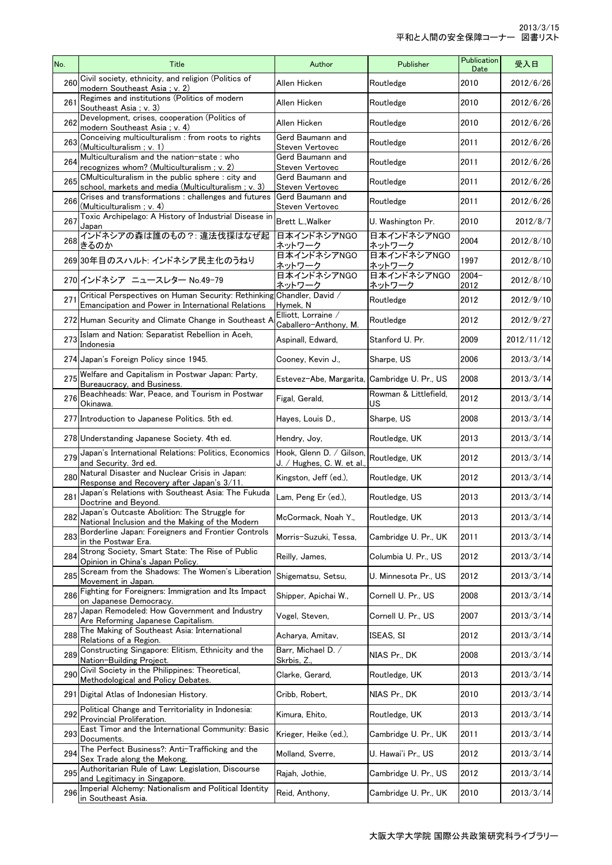| No. | Title                                                                                                                      | Author                                                | Publisher                    | Publication<br>Date | 受入日        |
|-----|----------------------------------------------------------------------------------------------------------------------------|-------------------------------------------------------|------------------------------|---------------------|------------|
| 260 | Civil society, ethnicity, and religion (Politics of<br>modern Southeast Asia; v. 2)                                        | Allen Hicken                                          | Routledge                    | 2010                | 2012/6/26  |
| 261 | Regimes and institutions (Politics of modern<br>Southeast Asia ; v. 3)                                                     | Allen Hicken                                          | Routledge                    | 2010                | 2012/6/26  |
| 262 | Development, crises, cooperation (Politics of<br>modern Southeast Asia ; v. 4)                                             | Allen Hicken                                          | Routledge                    | 2010                | 2012/6/26  |
| 263 | Conceiving multiculturalism : from roots to rights<br>(Multiculturalism ; v. 1)                                            | Gerd Baumann and<br>Steven Vertovec                   | Routledge                    | 2011                | 2012/6/26  |
| 264 | Multiculturalism and the nation-state: who<br>recognizes whom? (Multiculturalism; v. 2)                                    | Gerd Baumann and<br>Steven Vertovec                   | Routledge                    | 2011                | 2012/6/26  |
| 265 | CMulticulturalism in the public sphere: city and<br>school, markets and media (Multiculturalism; v. 3)                     | Gerd Baumann and<br>Steven Vertovec                   | Routledge                    | 2011                | 2012/6/26  |
| 266 | Crises and transformations: challenges and futures<br>(Multiculturalism ; v. 4)                                            | Gerd Baumann and<br>Steven Vertovec                   | Routledge                    | 2011                | 2012/6/26  |
| 267 | Toxic Archipelago: A History of Industrial Disease in<br>Japan                                                             | Brett L., Walker                                      | U. Washington Pr.            | 2010                | 2012/8/7   |
| 268 | インドネシアの森は誰のもの?:違法伐採はなぜ起<br>きるのか                                                                                            | 日本インドネシアNGO<br>ネットワーク                                 | 日本インドネシアNGO<br>ネットワーク        | 2004                | 2012/8/10  |
|     | 269 30年目のスハルト: インドネシア民主化のうねり                                                                                               | 日本インドネシアNGO<br>ネットワーク                                 | 日本インドネシアNGO<br><u>ネットワーク</u> | 1997                | 2012/8/10  |
|     | 270 インドネシア ニュースレター No.49-79                                                                                                | 日本インドネシアNGO<br>ネットワーク                                 | 日本インドネシアNGO<br>ネットワーク        | $2004 -$<br>2012    | 2012/8/10  |
| 271 | Critical Perspectives on Human Security: Rethinking Chandler, David /<br>Emancipation and Power in International Relations | Hymek, N                                              | Routledge                    | 2012                | 2012/9/10  |
|     | 272 Human Security and Climate Change in Southeast A                                                                       | Elliott, Lorraine /<br>Caballero-Anthony, M.          | Routledge                    | 2012                | 2012/9/27  |
| 273 | Islam and Nation: Separatist Rebellion in Aceh,<br>Indonesia                                                               | Aspinall, Edward,                                     | Stanford U. Pr.              | 2009                | 2012/11/12 |
|     | 274 Japan's Foreign Policy since 1945.                                                                                     | Cooney, Kevin J.,                                     | Sharpe, US                   | 2006                | 2013/3/14  |
| 275 | Welfare and Capitalism in Postwar Japan: Party,<br>Bureaucracy, and Business.                                              | Estevez-Abe, Margarita, Cambridge U. Pr., US          |                              | 2008                | 2013/3/14  |
| 276 | Beachheads: War, Peace, and Tourism in Postwar<br>Okinawa.                                                                 | Figal, Gerald,                                        | Rowman & Littlefield,<br>US  | 2012                | 2013/3/14  |
|     | 277 Introduction to Japanese Politics. 5th ed.                                                                             | Hayes, Louis D.,                                      | Sharpe, US                   | 2008                | 2013/3/14  |
|     | 278 Understanding Japanese Society. 4th ed.                                                                                | Hendry, Joy,                                          | Routledge, UK                | 2013                | 2013/3/14  |
| 279 | Japan's International Relations: Politics, Economics<br>and Security. 3rd ed.                                              | Hook, Glenn D. / Gilson,<br>J. / Hughes, C. W. et al. | Routledge, UK                | 2012                | 2013/3/14  |
| 280 | Natural Disaster and Nuclear Crisis in Japan:<br>Response and Recovery after Japan's 3/11.                                 | Kingston, Jeff (ed.),                                 | Routledge, UK                | 2012                | 2013/3/14  |
| 281 | Japan's Relations with Southeast Asia: The Fukuda<br>Doctrine and Beyond.                                                  | Lam, Peng Er (ed.),                                   | Routledge, US                | 2013                | 2013/3/14  |
| 282 | Japan's Outcaste Abolition: The Struggle for<br>National Inclusion and the Making of the Modern                            | McCormack, Noah Y.,                                   | Routledge, UK                | 2013                | 2013/3/14  |
| 283 | Borderline Japan: Foreigners and Frontier Controls<br>in the Postwar Era.                                                  | Morris-Suzuki, Tessa,                                 | Cambridge U. Pr., UK         | 2011                | 2013/3/14  |
| 284 | Strong Society, Smart State: The Rise of Public<br>Opinion in China's Japan Policy.                                        | Reilly, James,                                        | Columbia U. Pr., US          | 2012                | 2013/3/14  |
| 285 | Scream from the Shadows: The Women's Liberation<br>Movement in Japan.                                                      | Shigematsu, Setsu,                                    | U. Minnesota Pr., US         | 2012                | 2013/3/14  |
| 286 | Fighting for Foreigners: Immigration and Its Impact<br>on Japanese Democracy.                                              | Shipper, Apichai W.,                                  | Cornell U. Pr., US           | 2008                | 2013/3/14  |
| 287 | Japan Remodeled: How Government and Industry<br>Are Reforming Japanese Capitalism.                                         | Vogel, Steven,                                        | Cornell U. Pr., US           | 2007                | 2013/3/14  |
| 288 | The Making of Southeast Asia: International<br>Relations of a Region.                                                      | Acharya, Amitav,                                      | ISEAS, SI                    | 2012                | 2013/3/14  |
| 289 | Constructing Singapore: Elitism, Ethnicity and the<br>Nation-Building Project.                                             | Barr, Michael D. /<br>Skrbis, Z.,                     | NIAS Pr., DK                 | 2008                | 2013/3/14  |
| 290 | Civil Society in the Philippines: Theoretical,<br>Methodological and Policy Debates.                                       | Clarke, Gerard,                                       | Routledge, UK                | 2013                | 2013/3/14  |
|     | 291 Digital Atlas of Indonesian History.                                                                                   | Cribb, Robert,                                        | NIAS Pr., DK                 | 2010                | 2013/3/14  |
| 292 | Political Change and Territoriality in Indonesia:<br>Provincial Proliferation.                                             | Kimura, Ehito,                                        | Routledge, UK                | 2013                | 2013/3/14  |
| 293 | East Timor and the International Community: Basic<br>Documents.                                                            | Krieger, Heike (ed.),                                 | Cambridge U. Pr., UK         | 2011                | 2013/3/14  |
| 294 | The Perfect Business?: Anti-Trafficking and the<br>Sex Trade along the Mekong.                                             | Molland, Sverre,                                      | U. Hawai'i Pr., US           | 2012                | 2013/3/14  |
| 295 | Authoritarian Rule of Law: Legislation, Discourse<br>and Legitimacy in Singapore.                                          | Rajah, Jothie,                                        | Cambridge U. Pr., US         | 2012                | 2013/3/14  |
| 296 | Imperial Alchemy: Nationalism and Political Identity<br>in Southeast Asia.                                                 | Reid, Anthony,                                        | Cambridge U. Pr., UK         | 2010                | 2013/3/14  |